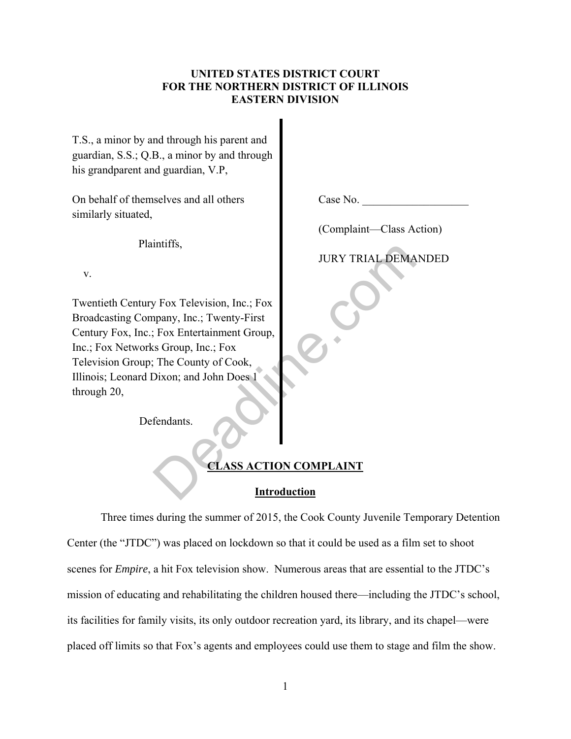### **UNITED STATES DISTRICT COURT FOR THE NORTHERN DISTRICT OF ILLINOIS EASTERN DIVISION**

T.S., a minor by and through his parent and guardian, S.S.; Q.B., a minor by and through his grandparent and guardian, V.P,

On behalf of themselves and all others similarly situated,

Plaintiffs,

v.

Twentieth Century Fox Television, Inc.; Fox Broadcasting Company, Inc.; Twenty-First Century Fox, Inc.; Fox Entertainment Group, Inc.; Fox Networks Group, Inc.; Fox Television Group; The County of Cook, Illinois; Leonard Dixon; and John Does 1 through 20, JURY TRIAL DEMA<br>
y Fox Television, Inc.; Fox<br>
pany, Inc.; Twenty-First<br>
Fox Entertainment Group,<br>
s Group, Inc.; Fox<br>
The County of Cook,<br>
Dixon; and John Does 1<br>
fendants.<br>
CLASS ACTION COMPLAINT<br>
Introduction

Defendants.

# **CLASS ACTION COMPLAINT**

# **Introduction**

Three times during the summer of 2015, the Cook County Juvenile Temporary Detention Center (the "JTDC") was placed on lockdown so that it could be used as a film set to shoot scenes for *Empire*, a hit Fox television show. Numerous areas that are essential to the JTDC's mission of educating and rehabilitating the children housed there—including the JTDC's school, its facilities for family visits, its only outdoor recreation yard, its library, and its chapel—were placed off limits so that Fox's agents and employees could use them to stage and film the show.

Case No.

(Complaint—Class Action)

JURY TRIAL DEMANDED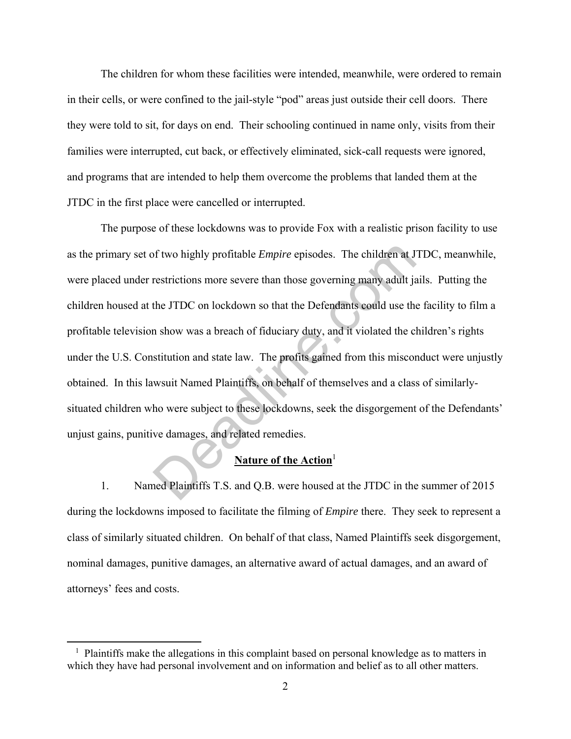The children for whom these facilities were intended, meanwhile, were ordered to remain in their cells, or were confined to the jail-style "pod" areas just outside their cell doors. There they were told to sit, for days on end. Their schooling continued in name only, visits from their families were interrupted, cut back, or effectively eliminated, sick-call requests were ignored, and programs that are intended to help them overcome the problems that landed them at the JTDC in the first place were cancelled or interrupted.

The purpose of these lockdowns was to provide Fox with a realistic prison facility to use as the primary set of two highly profitable *Empire* episodes. The children at JTDC, meanwhile, were placed under restrictions more severe than those governing many adult jails. Putting the children housed at the JTDC on lockdown so that the Defendants could use the facility to film a profitable television show was a breach of fiduciary duty, and it violated the children's rights under the U.S. Constitution and state law. The profits gained from this misconduct were unjustly obtained. In this lawsuit Named Plaintiffs, on behalf of themselves and a class of similarlysituated children who were subject to these lockdowns, seek the disgorgement of the Defendants' unjust gains, punitive damages, and related remedies. of two highly profitable *Empire* episodes. The children at J<br>restrictions more severe than those governing many adult ja<br>the JTDC on lockdown so that the Defendants could use the<br>n show was a breach of fiduciary duty, and

# **Nature of the Action**<sup>1</sup>

1. Named Plaintiffs T.S. and Q.B. were housed at the JTDC in the summer of 2015 during the lockdowns imposed to facilitate the filming of *Empire* there. They seek to represent a class of similarly situated children. On behalf of that class, Named Plaintiffs seek disgorgement, nominal damages, punitive damages, an alternative award of actual damages, and an award of attorneys' fees and costs.

<sup>&</sup>lt;sup>1</sup> Plaintiffs make the allegations in this complaint based on personal knowledge as to matters in which they have had personal involvement and on information and belief as to all other matters.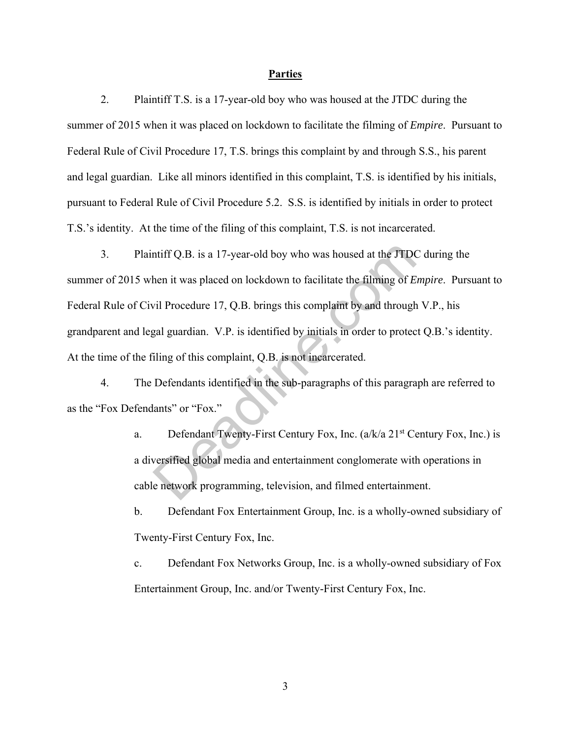#### **Parties**

2. Plaintiff T.S. is a 17-year-old boy who was housed at the JTDC during the summer of 2015 when it was placed on lockdown to facilitate the filming of *Empire*. Pursuant to Federal Rule of Civil Procedure 17, T.S. brings this complaint by and through S.S., his parent and legal guardian. Like all minors identified in this complaint, T.S. is identified by his initials, pursuant to Federal Rule of Civil Procedure 5.2. S.S. is identified by initials in order to protect T.S.'s identity. At the time of the filing of this complaint, T.S. is not incarcerated.

3. Plaintiff Q.B. is a 17-year-old boy who was housed at the JTDC during the summer of 2015 when it was placed on lockdown to facilitate the filming of *Empire*. Pursuant to Federal Rule of Civil Procedure 17, Q.B. brings this complaint by and through V.P., his grandparent and legal guardian. V.P. is identified by initials in order to protect Q.B.'s identity. At the time of the filing of this complaint, Q.B. is not incarcerated. ntiff Q.B. is a 17-year-old boy who was housed at the JTDC<br>hen it was placed on lockdown to facilitate the filming of E<br>vil Procedure 17, Q.B. brings this complaint by and through<br>gal guardian. V.P. is identified by initia

4. The Defendants identified in the sub-paragraphs of this paragraph are referred to as the "Fox Defendants" or "Fox."

> a. Defendant Twenty-First Century Fox, Inc.  $(a/k/a 21^{st}$  Century Fox, Inc.) is a diversified global media and entertainment conglomerate with operations in cable network programming, television, and filmed entertainment.

> b. Defendant Fox Entertainment Group, Inc. is a wholly-owned subsidiary of Twenty-First Century Fox, Inc.

> c. Defendant Fox Networks Group, Inc. is a wholly-owned subsidiary of Fox Entertainment Group, Inc. and/or Twenty-First Century Fox, Inc.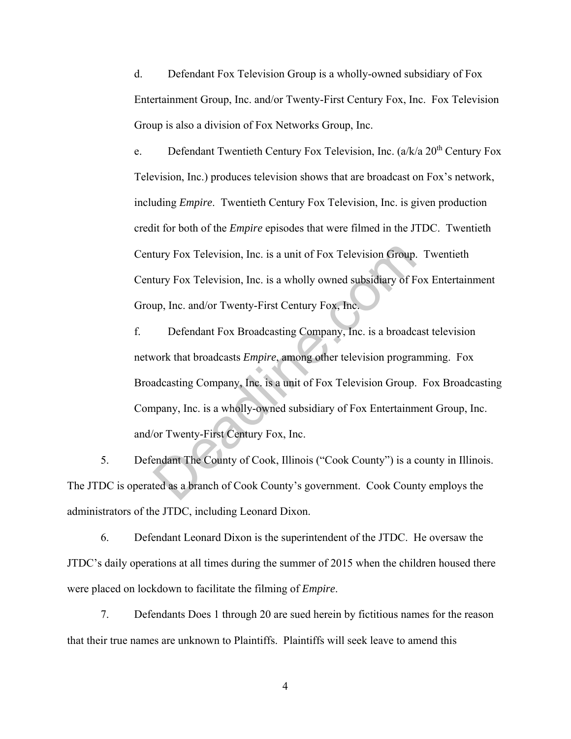d. Defendant Fox Television Group is a wholly-owned subsidiary of Fox Entertainment Group, Inc. and/or Twenty-First Century Fox, Inc. Fox Television Group is also a division of Fox Networks Group, Inc.

e. Defendant Twentieth Century Fox Television, Inc.  $(a/k/a 20<sup>th</sup>$  Century Fox Television, Inc.) produces television shows that are broadcast on Fox's network, including *Empire*. Twentieth Century Fox Television, Inc. is given production credit for both of the *Empire* episodes that were filmed in the JTDC. Twentieth Century Fox Television, Inc. is a unit of Fox Television Group. Twentieth Century Fox Television, Inc. is a wholly owned subsidiary of Fox Entertainment Group, Inc. and/or Twenty-First Century Fox, Inc.

f. Defendant Fox Broadcasting Company, Inc. is a broadcast television network that broadcasts *Empire*, among other television programming. Fox Broadcasting Company, Inc. is a unit of Fox Television Group. Fox Broadcasting Company, Inc. is a wholly-owned subsidiary of Fox Entertainment Group, Inc. and/or Twenty-First Century Fox, Inc. tury Fox Television, Inc. is a unit of Fox Television Group.<br>
tury Fox Television, Inc. is a wholly owned subsidiary of F<br>
up, Inc. and/or Twenty-First Century Fox, Inc.<br>
Defendant Fox Broadcasting Company, Inc. is a broad

5. Defendant The County of Cook, Illinois ("Cook County") is a county in Illinois. The JTDC is operated as a branch of Cook County's government. Cook County employs the administrators of the JTDC, including Leonard Dixon.

6. Defendant Leonard Dixon is the superintendent of the JTDC. He oversaw the JTDC's daily operations at all times during the summer of 2015 when the children housed there were placed on lockdown to facilitate the filming of *Empire*.

7. Defendants Does 1 through 20 are sued herein by fictitious names for the reason that their true names are unknown to Plaintiffs. Plaintiffs will seek leave to amend this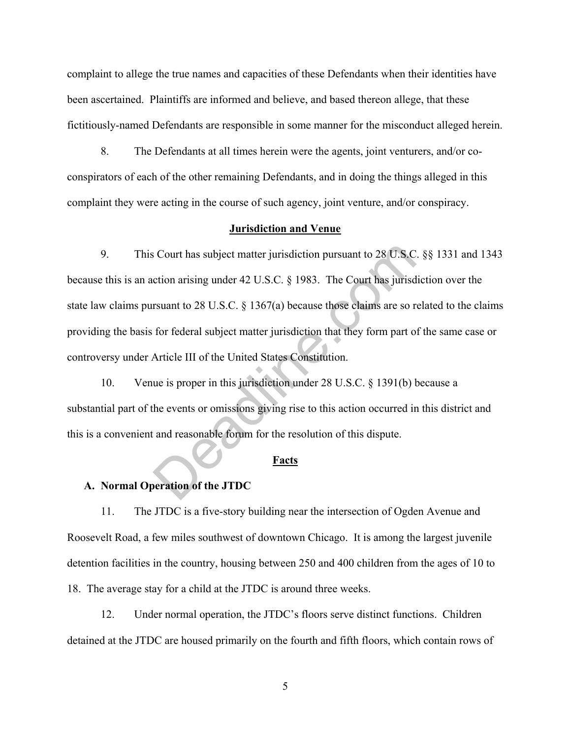complaint to allege the true names and capacities of these Defendants when their identities have been ascertained. Plaintiffs are informed and believe, and based thereon allege, that these fictitiously-named Defendants are responsible in some manner for the misconduct alleged herein.

8. The Defendants at all times herein were the agents, joint venturers, and/or coconspirators of each of the other remaining Defendants, and in doing the things alleged in this complaint they were acting in the course of such agency, joint venture, and/or conspiracy.

#### **Jurisdiction and Venue**

9. This Court has subject matter jurisdiction pursuant to 28 U.S.C. §§ 1331 and 1343 because this is an action arising under 42 U.S.C. § 1983. The Court has jurisdiction over the state law claims pursuant to 28 U.S.C. § 1367(a) because those claims are so related to the claims providing the basis for federal subject matter jurisdiction that they form part of the same case or controversy under Article III of the United States Constitution. Solution and Solution that is unique to 28 U.S.C.<br>
Solution arising under 42 U.S.C. § 1983. The Court has jurisd<br>
rsuant to 28 U.S.C. § 1367(a) because those claims are so r<br>
for federal subject matter jurisdiction that t

10. Venue is proper in this jurisdiction under 28 U.S.C. § 1391(b) because a substantial part of the events or omissions giving rise to this action occurred in this district and this is a convenient and reasonable forum for the resolution of this dispute.

#### **Facts**

#### **A. Normal Operation of the JTDC**

11. The JTDC is a five-story building near the intersection of Ogden Avenue and Roosevelt Road, a few miles southwest of downtown Chicago. It is among the largest juvenile detention facilities in the country, housing between 250 and 400 children from the ages of 10 to 18. The average stay for a child at the JTDC is around three weeks.

12. Under normal operation, the JTDC's floors serve distinct functions. Children detained at the JTDC are housed primarily on the fourth and fifth floors, which contain rows of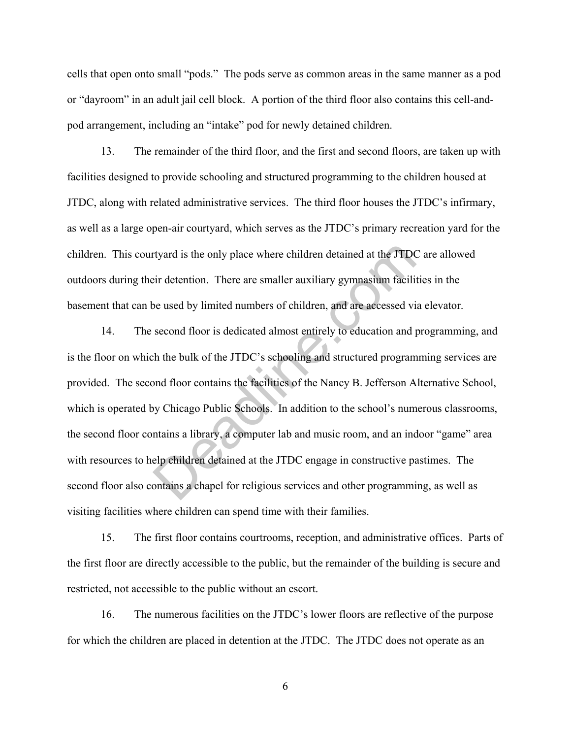cells that open onto small "pods." The pods serve as common areas in the same manner as a pod or "dayroom" in an adult jail cell block. A portion of the third floor also contains this cell-andpod arrangement, including an "intake" pod for newly detained children.

13. The remainder of the third floor, and the first and second floors, are taken up with facilities designed to provide schooling and structured programming to the children housed at JTDC, along with related administrative services. The third floor houses the JTDC's infirmary, as well as a large open-air courtyard, which serves as the JTDC's primary recreation yard for the children. This courtyard is the only place where children detained at the JTDC are allowed outdoors during their detention. There are smaller auxiliary gymnasium facilities in the basement that can be used by limited numbers of children, and are accessed via elevator.

14. The second floor is dedicated almost entirely to education and programming, and is the floor on which the bulk of the JTDC's schooling and structured programming services are provided. The second floor contains the facilities of the Nancy B. Jefferson Alternative School, which is operated by Chicago Public Schools. In addition to the school's numerous classrooms, the second floor contains a library, a computer lab and music room, and an indoor "game" area with resources to help children detained at the JTDC engage in constructive pastimes. The second floor also contains a chapel for religious services and other programming, as well as visiting facilities where children can spend time with their families. rtyard is the only place where children detained at the JTDC<br>
eir detention. There are smaller auxiliary gymnasium facili<br>
be used by limited numbers of children, and are accessed vi<br>
second floor is dedicated almost entir

15. The first floor contains courtrooms, reception, and administrative offices. Parts of the first floor are directly accessible to the public, but the remainder of the building is secure and restricted, not accessible to the public without an escort.

16. The numerous facilities on the JTDC's lower floors are reflective of the purpose for which the children are placed in detention at the JTDC. The JTDC does not operate as an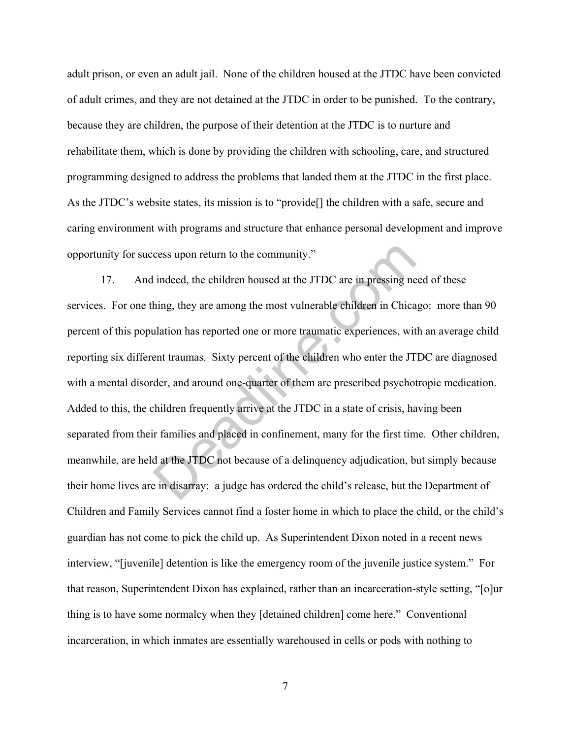adult prison, or even an adult jail. None of the children housed at the JTDC have been convicted of adult crimes, and they are not detained at the JTDC in order to be punished. To the contrary, because they are children, the purpose of their detention at the JTDC is to nurture and rehabilitate them, which is done by providing the children with schooling, care, and structured programming designed to address the problems that landed them at the JTDC in the first place. As the JTDC's website states, its mission is to "provide[] the children with a safe, secure and caring environment with programs and structure that enhance personal development and improve opportunity for success upon return to the community."

17. And indeed, the children housed at the JTDC are in pressing need of these services. For one thing, they are among the most vulnerable children in Chicago: more than 90 percent of this population has reported one or more traumatic experiences, with an average child reporting six different traumas. Sixty percent of the children who enter the JTDC are diagnosed with a mental disorder, and around one-quarter of them are prescribed psychotropic medication. Added to this, the children frequently arrive at the JTDC in a state of crisis, having been separated from their families and placed in confinement, many for the first time. Other children, meanwhile, are held at the JTDC not because of a delinquency adjudication, but simply because their home lives are in disarray: a judge has ordered the child's release, but the Department of Children and Family Services cannot find a foster home in which to place the child, or the child's guardian has not come to pick the child up. As Superintendent Dixon noted in a recent news interview, "[juvenile] detention is like the emergency room of the juvenile justice system." For that reason, Superintendent Dixon has explained, rather than an incarceration-style setting, "[o]ur thing is to have some normalcy when they [detained children] come here." Conventional incarceration, in which inmates are essentially warehoused in cells or pods with nothing to cess upon return to the community."<br>
indeed, the children housed at the JTDC are in pressing ne<br>
hing, they are among the most vulnerable children in Chica<br>
ulation has reported one or more traumatic experiences, wit<br>
ent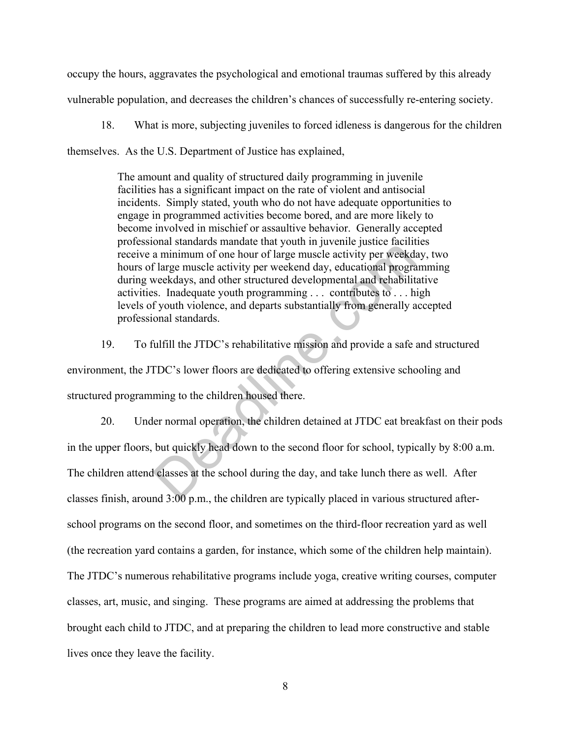occupy the hours, aggravates the psychological and emotional traumas suffered by this already vulnerable population, and decreases the children's chances of successfully re-entering society.

18. What is more, subjecting juveniles to forced idleness is dangerous for the children

themselves. As the U.S. Department of Justice has explained,

The amount and quality of structured daily programming in juvenile facilities has a significant impact on the rate of violent and antisocial incidents. Simply stated, youth who do not have adequate opportunities to engage in programmed activities become bored, and are more likely to become involved in mischief or assaultive behavior. Generally accepted professional standards mandate that youth in juvenile justice facilities receive a minimum of one hour of large muscle activity per weekday, two hours of large muscle activity per weekend day, educational programming during weekdays, and other structured developmental and rehabilitative activities. Inadequate youth programming . . . contributes to . . . high levels of youth violence, and departs substantially from generally accepted professional standards.

19. To fulfill the JTDC's rehabilitative mission and provide a safe and structured environment, the JTDC's lower floors are dedicated to offering extensive schooling and structured programming to the children housed there.

20. Under normal operation, the children detained at JTDC eat breakfast on their pods in the upper floors, but quickly head down to the second floor for school, typically by 8:00 a.m. The children attend classes at the school during the day, and take lunch there as well. After classes finish, around 3:00 p.m., the children are typically placed in various structured afterschool programs on the second floor, and sometimes on the third-floor recreation yard as well (the recreation yard contains a garden, for instance, which some of the children help maintain). The JTDC's numerous rehabilitative programs include yoga, creative writing courses, computer classes, art, music, and singing. These programs are aimed at addressing the problems that brought each child to JTDC, and at preparing the children to lead more constructive and stable lives once they leave the facility. Example and someone was manipular and your and a minimum of one hour of large muscle activity per weekded flarge muscle activity per weekded flarge muscle activity per weekded point of large muscle activity per weekdays,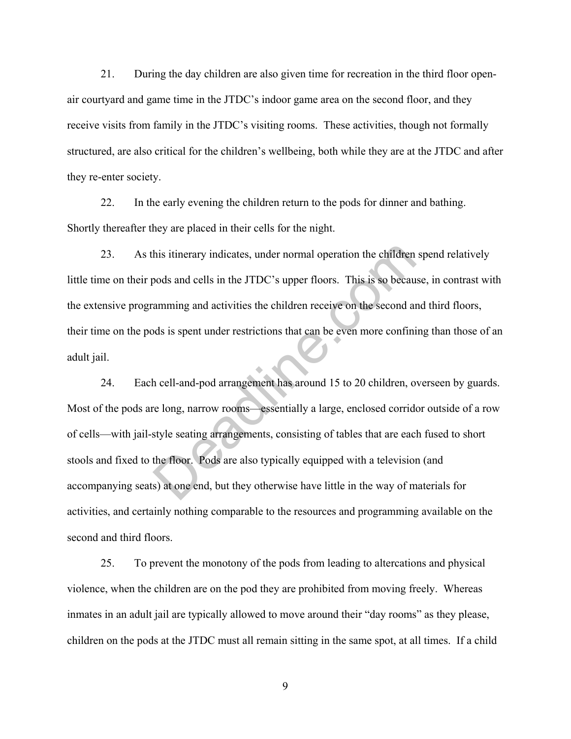21. During the day children are also given time for recreation in the third floor openair courtyard and game time in the JTDC's indoor game area on the second floor, and they receive visits from family in the JTDC's visiting rooms. These activities, though not formally structured, are also critical for the children's wellbeing, both while they are at the JTDC and after they re-enter society.

22. In the early evening the children return to the pods for dinner and bathing. Shortly thereafter they are placed in their cells for the night.

23. As this itinerary indicates, under normal operation the children spend relatively little time on their pods and cells in the JTDC's upper floors. This is so because, in contrast with the extensive programming and activities the children receive on the second and third floors, their time on the pods is spent under restrictions that can be even more confining than those of an adult jail.

24. Each cell-and-pod arrangement has around 15 to 20 children, overseen by guards. Most of the pods are long, narrow rooms—essentially a large, enclosed corridor outside of a row of cells—with jail-style seating arrangements, consisting of tables that are each fused to short stools and fixed to the floor. Pods are also typically equipped with a television (and accompanying seats) at one end, but they otherwise have little in the way of materials for activities, and certainly nothing comparable to the resources and programming available on the second and third floors. his itinerary indicates, under normal operation the children<br>pods and cells in the JTDC's upper floors. This is so becau<br>amming and activities the children receive on the second and<br>ds is spent under restrictions that can

25. To prevent the monotony of the pods from leading to altercations and physical violence, when the children are on the pod they are prohibited from moving freely. Whereas inmates in an adult jail are typically allowed to move around their "day rooms" as they please, children on the pods at the JTDC must all remain sitting in the same spot, at all times. If a child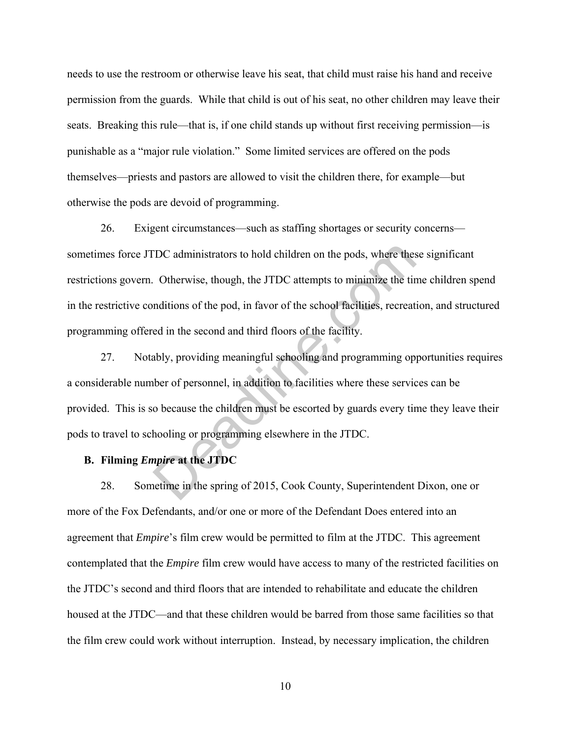needs to use the restroom or otherwise leave his seat, that child must raise his hand and receive permission from the guards. While that child is out of his seat, no other children may leave their seats. Breaking this rule—that is, if one child stands up without first receiving permission—is punishable as a "major rule violation." Some limited services are offered on the pods themselves—priests and pastors are allowed to visit the children there, for example—but otherwise the pods are devoid of programming.

26. Exigent circumstances—such as staffing shortages or security concerns sometimes force JTDC administrators to hold children on the pods, where these significant restrictions govern. Otherwise, though, the JTDC attempts to minimize the time children spend in the restrictive conditions of the pod, in favor of the school facilities, recreation, and structured programming offered in the second and third floors of the facility. DC administrators to hold children on the pods, where thes<br>
Otherwise, though, the JTDC attempts to minimize the tir<br>
nditions of the pod, in favor of the school facilities, recreat<br>
ed in the second and third floors of th

27. Notably, providing meaningful schooling and programming opportunities requires a considerable number of personnel, in addition to facilities where these services can be provided. This is so because the children must be escorted by guards every time they leave their pods to travel to schooling or programming elsewhere in the JTDC.

#### **B. Filming** *Empire* **at the JTDC**

28. Sometime in the spring of 2015, Cook County, Superintendent Dixon, one or more of the Fox Defendants, and/or one or more of the Defendant Does entered into an agreement that *Empire*'s film crew would be permitted to film at the JTDC. This agreement contemplated that the *Empire* film crew would have access to many of the restricted facilities on the JTDC's second and third floors that are intended to rehabilitate and educate the children housed at the JTDC—and that these children would be barred from those same facilities so that the film crew could work without interruption. Instead, by necessary implication, the children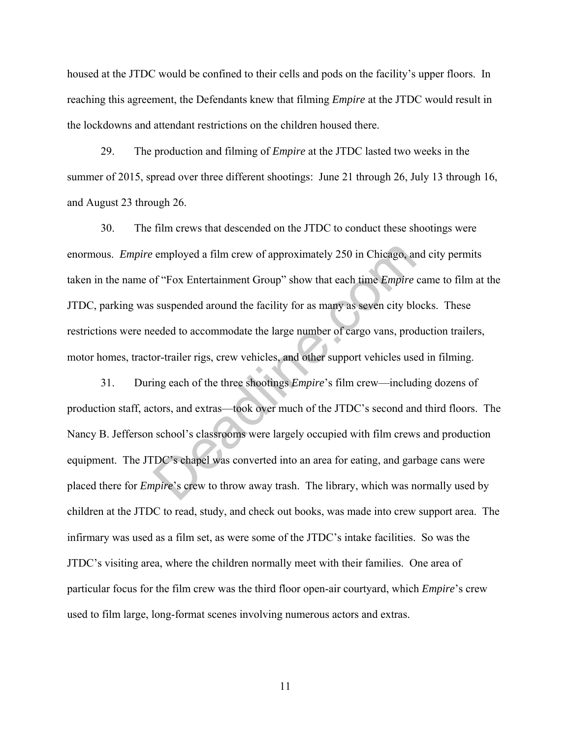housed at the JTDC would be confined to their cells and pods on the facility's upper floors. In reaching this agreement, the Defendants knew that filming *Empire* at the JTDC would result in the lockdowns and attendant restrictions on the children housed there.

29. The production and filming of *Empire* at the JTDC lasted two weeks in the summer of 2015, spread over three different shootings: June 21 through 26, July 13 through 16, and August 23 through 26.

30. The film crews that descended on the JTDC to conduct these shootings were enormous. *Empire* employed a film crew of approximately 250 in Chicago, and city permits taken in the name of "Fox Entertainment Group" show that each time *Empire* came to film at the JTDC, parking was suspended around the facility for as many as seven city blocks. These restrictions were needed to accommodate the large number of cargo vans, production trailers, motor homes, tractor-trailer rigs, crew vehicles, and other support vehicles used in filming.

31. During each of the three shootings *Empire*'s film crew—including dozens of production staff, actors, and extras—took over much of the JTDC's second and third floors. The Nancy B. Jefferson school's classrooms were largely occupied with film crews and production equipment. The JTDC's chapel was converted into an area for eating, and garbage cans were placed there for *Empire*'s crew to throw away trash. The library, which was normally used by children at the JTDC to read, study, and check out books, was made into crew support area. The infirmary was used as a film set, as were some of the JTDC's intake facilities. So was the JTDC's visiting area, where the children normally meet with their families. One area of particular focus for the film crew was the third floor open-air courtyard, which *Empire*'s crew used to film large, long-format scenes involving numerous actors and extras. employed a film crew of approximately 250 in Chicago, and f "Fox Entertainment Group" show that each time *Empire* suspended around the facility for as many as seven city bleeded to accommodate the large number of cargo va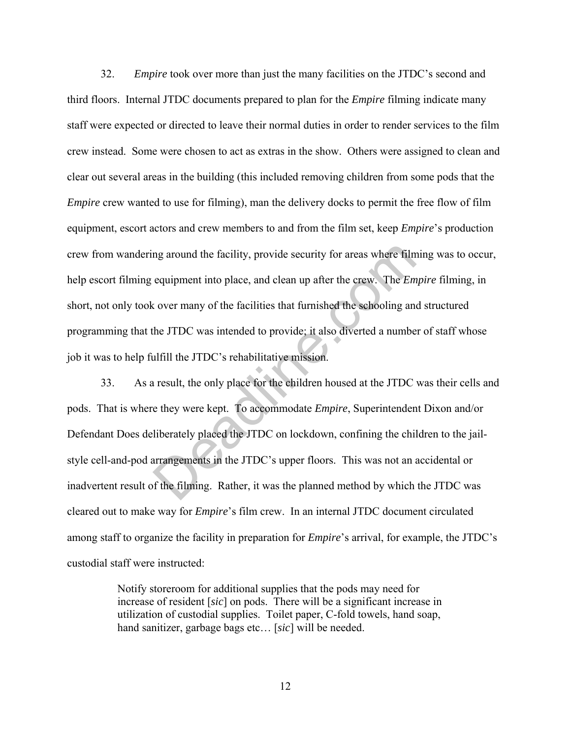32. *Empire* took over more than just the many facilities on the JTDC's second and third floors. Internal JTDC documents prepared to plan for the *Empire* filming indicate many staff were expected or directed to leave their normal duties in order to render services to the film crew instead. Some were chosen to act as extras in the show. Others were assigned to clean and clear out several areas in the building (this included removing children from some pods that the *Empire* crew wanted to use for filming), man the delivery docks to permit the free flow of film equipment, escort actors and crew members to and from the film set, keep *Empire*'s production crew from wandering around the facility, provide security for areas where filming was to occur, help escort filming equipment into place, and clean up after the crew. The *Empire* filming, in short, not only took over many of the facilities that furnished the schooling and structured programming that the JTDC was intended to provide; it also diverted a number of staff whose job it was to help fulfill the JTDC's rehabilitative mission.

33. As a result, the only place for the children housed at the JTDC was their cells and pods. That is where they were kept. To accommodate *Empire*, Superintendent Dixon and/or Defendant Does deliberately placed the JTDC on lockdown, confining the children to the jailstyle cell-and-pod arrangements in the JTDC's upper floors. This was not an accidental or inadvertent result of the filming. Rather, it was the planned method by which the JTDC was cleared out to make way for *Empire*'s film crew. In an internal JTDC document circulated among staff to organize the facility in preparation for *Empire*'s arrival, for example, the JTDC's custodial staff were instructed: metalline. The fact the security for areas where film<br>equipment into place, and clean up after the crew. The *Em*<br>cover many of the facilities that furnished the schooling and<br>the JTDC was intended to provide; it also dive

> Notify storeroom for additional supplies that the pods may need for increase of resident [*sic*] on pods. There will be a significant increase in utilization of custodial supplies. Toilet paper, C-fold towels, hand soap, hand sanitizer, garbage bags etc… [*sic*] will be needed.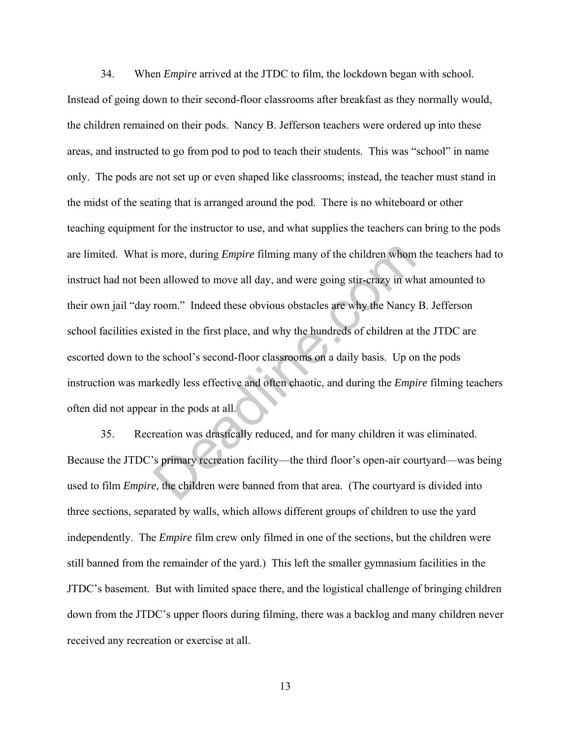34. When *Empire* arrived at the JTDC to film, the lockdown began with school. Instead of going down to their second-floor classrooms after breakfast as they normally would, the children remained on their pods. Nancy B. Jefferson teachers were ordered up into these areas, and instructed to go from pod to pod to teach their students. This was "school" in name only. The pods are not set up or even shaped like classrooms; instead, the teacher must stand in the midst of the seating that is arranged around the pod. There is no whiteboard or other teaching equipment for the instructor to use, and what supplies the teachers can bring to the pods are limited. What is more, during *Empire* filming many of the children whom the teachers had to instruct had not been allowed to move all day, and were going stir-crazy in what amounted to their own jail "day room." Indeed these obvious obstacles are why the Nancy B. Jefferson school facilities existed in the first place, and why the hundreds of children at the JTDC are escorted down to the school's second-floor classrooms on a daily basis. Up on the pods instruction was markedly less effective and often chaotic, and during the *Empire* filming teachers often did not appear in the pods at all. is more, during *Empire* filming many of the children whom<br>en allowed to move all day, and were going stir-crazy in wh<br>room." Indeed these obvious obstacles are why the Nancy<br>isted in the first place, and why the hundreds

35. Recreation was drastically reduced, and for many children it was eliminated. Because the JTDC's primary recreation facility—the third floor's open-air courtyard—was being used to film *Empire*, the children were banned from that area. (The courtyard is divided into three sections, separated by walls, which allows different groups of children to use the yard independently. The *Empire* film crew only filmed in one of the sections, but the children were still banned from the remainder of the yard.) This left the smaller gymnasium facilities in the JTDC's basement. But with limited space there, and the logistical challenge of bringing children down from the JTDC's upper floors during filming, there was a backlog and many children never received any recreation or exercise at all.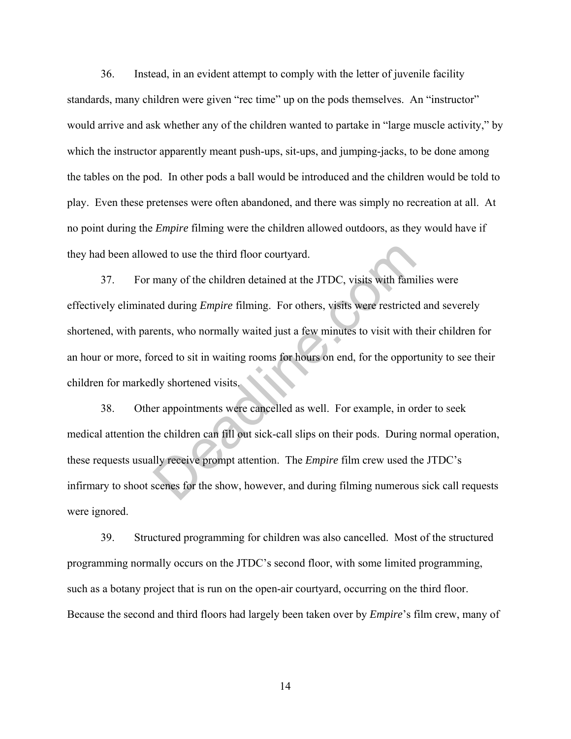36. Instead, in an evident attempt to comply with the letter of juvenile facility standards, many children were given "rec time" up on the pods themselves. An "instructor" would arrive and ask whether any of the children wanted to partake in "large muscle activity," by which the instructor apparently meant push-ups, sit-ups, and jumping-jacks, to be done among the tables on the pod. In other pods a ball would be introduced and the children would be told to play. Even these pretenses were often abandoned, and there was simply no recreation at all. At no point during the *Empire* filming were the children allowed outdoors, as they would have if they had been allowed to use the third floor courtyard.

37. For many of the children detained at the JTDC, visits with families were effectively eliminated during *Empire* filming. For others, visits were restricted and severely shortened, with parents, who normally waited just a few minutes to visit with their children for an hour or more, forced to sit in waiting rooms for hours on end, for the opportunity to see their children for markedly shortened visits. wed to use the third floor courtyard.<br>
many of the children detained at the JTDC, visits with famined during *Empire* filming. For others, visits were restricted<br>
ents, who normally waited just a few minutes to visit with

38. Other appointments were cancelled as well. For example, in order to seek medical attention the children can fill out sick-call slips on their pods. During normal operation, these requests usually receive prompt attention. The *Empire* film crew used the JTDC's infirmary to shoot scenes for the show, however, and during filming numerous sick call requests were ignored.

39. Structured programming for children was also cancelled. Most of the structured programming normally occurs on the JTDC's second floor, with some limited programming, such as a botany project that is run on the open-air courtyard, occurring on the third floor. Because the second and third floors had largely been taken over by *Empire*'s film crew, many of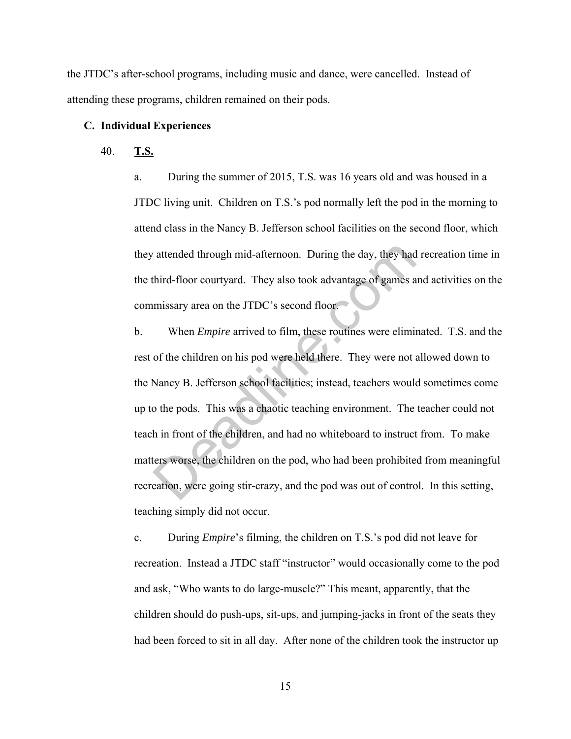the JTDC's after-school programs, including music and dance, were cancelled. Instead of attending these programs, children remained on their pods.

#### **C. Individual Experiences**

#### 40. **T.S.**

a. During the summer of 2015, T.S. was 16 years old and was housed in a JTDC living unit. Children on T.S.'s pod normally left the pod in the morning to attend class in the Nancy B. Jefferson school facilities on the second floor, which they attended through mid-afternoon. During the day, they had recreation time in the third-floor courtyard. They also took advantage of games and activities on the commissary area on the JTDC's second floor.

b. When *Empire* arrived to film, these routines were eliminated. T.S. and the rest of the children on his pod were held there. They were not allowed down to the Nancy B. Jefferson school facilities; instead, teachers would sometimes come up to the pods. This was a chaotic teaching environment. The teacher could not teach in front of the children, and had no whiteboard to instruct from. To make matters worse, the children on the pod, who had been prohibited from meaningful recreation, were going stir-crazy, and the pod was out of control. In this setting, teaching simply did not occur. attended through mid-afternoon. During the day, they had third-floor courtyard. They also took advantage of games a missary area on the JTDC's second floor.<br>When *Empire* arrived to film, these routines were elimined for t

c. During *Empire*'s filming, the children on T.S.'s pod did not leave for recreation. Instead a JTDC staff "instructor" would occasionally come to the pod and ask, "Who wants to do large-muscle?" This meant, apparently, that the children should do push-ups, sit-ups, and jumping-jacks in front of the seats they had been forced to sit in all day. After none of the children took the instructor up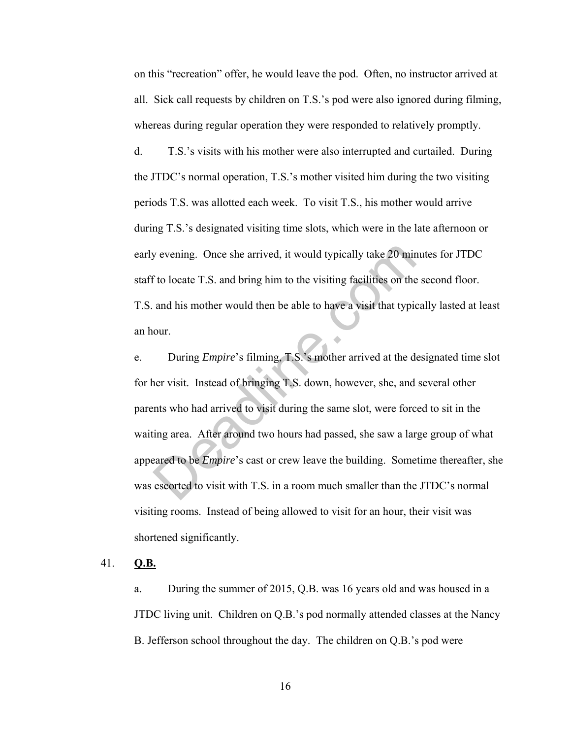on this "recreation" offer, he would leave the pod. Often, no instructor arrived at all. Sick call requests by children on T.S.'s pod were also ignored during filming, whereas during regular operation they were responded to relatively promptly.

d. T.S.'s visits with his mother were also interrupted and curtailed. During the JTDC's normal operation, T.S.'s mother visited him during the two visiting periods T.S. was allotted each week. To visit T.S., his mother would arrive during T.S.'s designated visiting time slots, which were in the late afternoon or early evening. Once she arrived, it would typically take 20 minutes for JTDC staff to locate T.S. and bring him to the visiting facilities on the second floor. T.S. and his mother would then be able to have a visit that typically lasted at least an hour.

e. During *Empire*'s filming, T.S.'s mother arrived at the designated time slot for her visit. Instead of bringing T.S. down, however, she, and several other parents who had arrived to visit during the same slot, were forced to sit in the waiting area. After around two hours had passed, she saw a large group of what appeared to be *Empire*'s cast or crew leave the building. Sometime thereafter, she was escorted to visit with T.S. in a room much smaller than the JTDC's normal visiting rooms. Instead of being allowed to visit for an hour, their visit was shortened significantly. by evening. Once she arrived, it would typically take 20 minds to locate T.S. and bring him to the visiting facilities on the and his mother would then be able to have a visit that typic our.<br>During *Empire's* filming, T.S

#### 41. **Q.B.**

a. During the summer of 2015, Q.B. was 16 years old and was housed in a JTDC living unit. Children on Q.B.'s pod normally attended classes at the Nancy B. Jefferson school throughout the day. The children on Q.B.'s pod were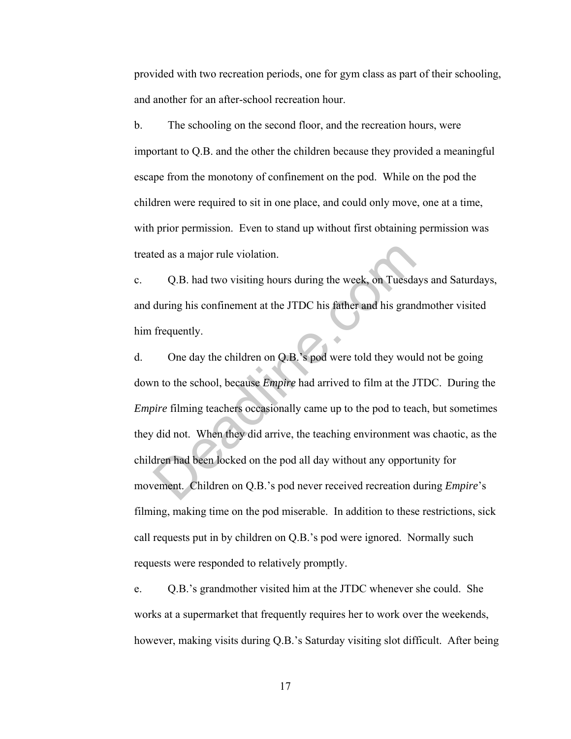provided with two recreation periods, one for gym class as part of their schooling, and another for an after-school recreation hour.

b. The schooling on the second floor, and the recreation hours, were important to Q.B. and the other the children because they provided a meaningful escape from the monotony of confinement on the pod. While on the pod the children were required to sit in one place, and could only move, one at a time, with prior permission. Even to stand up without first obtaining permission was treated as a major rule violation.

c. Q.B. had two visiting hours during the week, on Tuesdays and Saturdays, and during his confinement at the JTDC his father and his grandmother visited him frequently.

d. One day the children on Q.B.'s pod were told they would not be going down to the school, because *Empire* had arrived to film at the JTDC. During the *Empire* filming teachers occasionally came up to the pod to teach, but sometimes they did not. When they did arrive, the teaching environment was chaotic, as the children had been locked on the pod all day without any opportunity for movement. Children on Q.B.'s pod never received recreation during *Empire*'s filming, making time on the pod miserable. In addition to these restrictions, sick call requests put in by children on Q.B.'s pod were ignored. Normally such requests were responded to relatively promptly. Let as a major rule violation.<br>
Q.B. had two visiting hours during the week, on Tuesda<br>
during his confinement at the JTDC his father and his gran<br>
frequently.<br>
One day the children on Q.B.'s pod were told they wou<br>
in to

e. Q.B.'s grandmother visited him at the JTDC whenever she could. She works at a supermarket that frequently requires her to work over the weekends, however, making visits during Q.B.'s Saturday visiting slot difficult. After being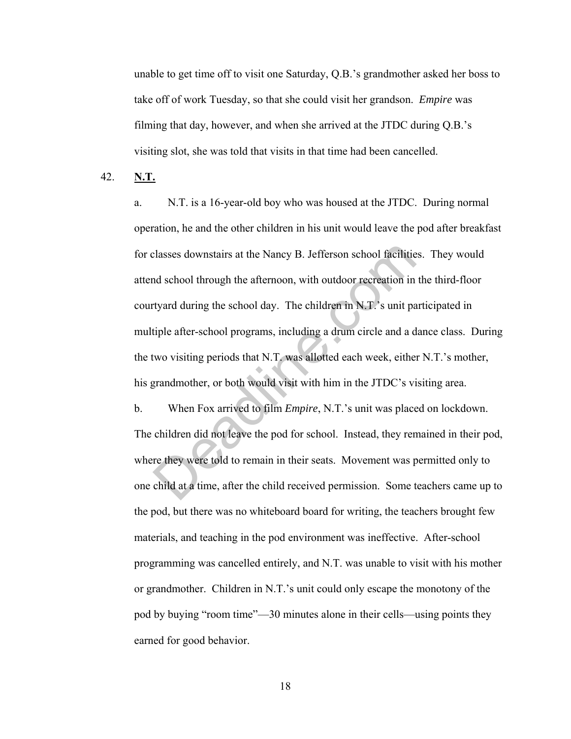unable to get time off to visit one Saturday, Q.B.'s grandmother asked her boss to take off of work Tuesday, so that she could visit her grandson. *Empire* was filming that day, however, and when she arrived at the JTDC during Q.B.'s visiting slot, she was told that visits in that time had been cancelled.

42. **N.T.**

a. N.T. is a 16-year-old boy who was housed at the JTDC. During normal operation, he and the other children in his unit would leave the pod after breakfast for classes downstairs at the Nancy B. Jefferson school facilities. They would attend school through the afternoon, with outdoor recreation in the third-floor courtyard during the school day. The children in N.T.'s unit participated in multiple after-school programs, including a drum circle and a dance class. During the two visiting periods that N.T. was allotted each week, either N.T.'s mother, his grandmother, or both would visit with him in the JTDC's visiting area. classes downstairs at the Nancy B. Jefferson school facilitiend school through the afternoon, with outdoor recreation in tyard during the school day. The children in N.T.'s unit patiple after-school programs, including a d

b. When Fox arrived to film *Empire*, N.T.'s unit was placed on lockdown. The children did not leave the pod for school. Instead, they remained in their pod, where they were told to remain in their seats. Movement was permitted only to one child at a time, after the child received permission. Some teachers came up to the pod, but there was no whiteboard board for writing, the teachers brought few materials, and teaching in the pod environment was ineffective. After-school programming was cancelled entirely, and N.T. was unable to visit with his mother or grandmother. Children in N.T.'s unit could only escape the monotony of the pod by buying "room time"—30 minutes alone in their cells—using points they earned for good behavior.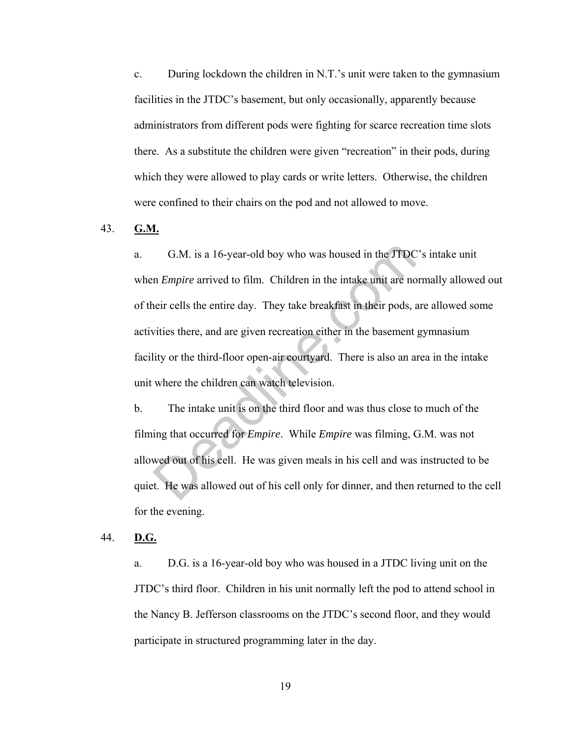c. During lockdown the children in N.T.'s unit were taken to the gymnasium facilities in the JTDC's basement, but only occasionally, apparently because administrators from different pods were fighting for scarce recreation time slots there. As a substitute the children were given "recreation" in their pods, during which they were allowed to play cards or write letters. Otherwise, the children were confined to their chairs on the pod and not allowed to move.

#### 43. **G.M.**

a. G.M. is a 16-year-old boy who was housed in the JTDC's intake unit when *Empire* arrived to film. Children in the intake unit are normally allowed out of their cells the entire day. They take breakfast in their pods, are allowed some activities there, and are given recreation either in the basement gymnasium facility or the third-floor open-air courtyard. There is also an area in the intake unit where the children can watch television. G.M. is a 16-year-old boy who was housed in the JTDC<br>n *Empire* arrived to film. Children in the intake unit are no<br>neir cells the entire day. They take breakfast in their pods, a<br>vities there, and are given recreation eit

b. The intake unit is on the third floor and was thus close to much of the filming that occurred for *Empire*. While *Empire* was filming, G.M. was not allowed out of his cell. He was given meals in his cell and was instructed to be quiet. He was allowed out of his cell only for dinner, and then returned to the cell for the evening.

44. **D.G.**

a. D.G. is a 16-year-old boy who was housed in a JTDC living unit on the JTDC's third floor. Children in his unit normally left the pod to attend school in the Nancy B. Jefferson classrooms on the JTDC's second floor, and they would participate in structured programming later in the day.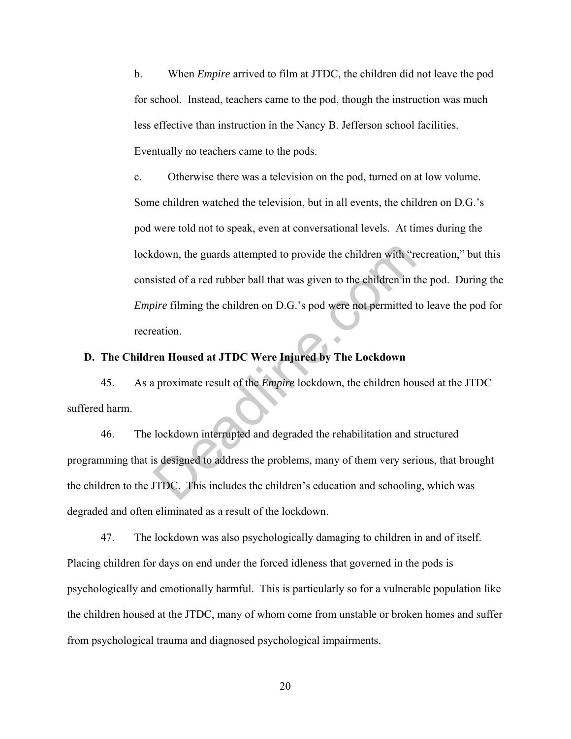b. When *Empire* arrived to film at JTDC, the children did not leave the pod for school. Instead, teachers came to the pod, though the instruction was much less effective than instruction in the Nancy B. Jefferson school facilities. Eventually no teachers came to the pods.

c. Otherwise there was a television on the pod, turned on at low volume. Some children watched the television, but in all events, the children on D.G.'s pod were told not to speak, even at conversational levels. At times during the lockdown, the guards attempted to provide the children with "recreation," but this consisted of a red rubber ball that was given to the children in the pod. During the *Empire* filming the children on D.G.'s pod were not permitted to leave the pod for recreation. down, the guards attempted to provide the children with "resisted of a red rubber ball that was given to the children in to *vire* filming the children on D.G.'s pod were not permitted teation.<br> **Computed at JTDC Were Inju** 

### **D. The Children Housed at JTDC Were Injured by The Lockdown**

45. As a proximate result of the *Empire* lockdown, the children housed at the JTDC suffered harm.

46. The lockdown interrupted and degraded the rehabilitation and structured programming that is designed to address the problems, many of them very serious, that brought the children to the JTDC. This includes the children's education and schooling, which was degraded and often eliminated as a result of the lockdown.

47. The lockdown was also psychologically damaging to children in and of itself. Placing children for days on end under the forced idleness that governed in the pods is psychologically and emotionally harmful. This is particularly so for a vulnerable population like the children housed at the JTDC, many of whom come from unstable or broken homes and suffer from psychological trauma and diagnosed psychological impairments.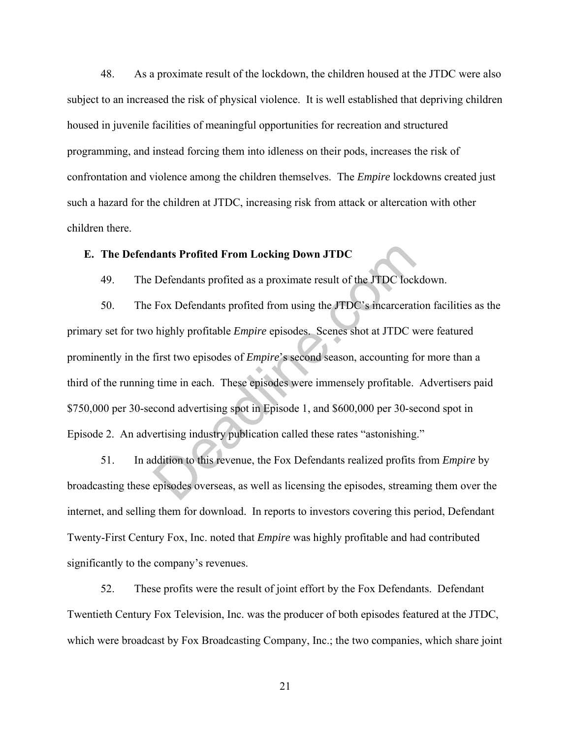48. As a proximate result of the lockdown, the children housed at the JTDC were also subject to an increased the risk of physical violence. It is well established that depriving children housed in juvenile facilities of meaningful opportunities for recreation and structured programming, and instead forcing them into idleness on their pods, increases the risk of confrontation and violence among the children themselves. The *Empire* lockdowns created just such a hazard for the children at JTDC, increasing risk from attack or altercation with other children there.

#### **E. The Defendants Profited From Locking Down JTDC**

49. The Defendants profited as a proximate result of the JTDC lockdown.

50. The Fox Defendants profited from using the JTDC's incarceration facilities as the primary set for two highly profitable *Empire* episodes. Scenes shot at JTDC were featured prominently in the first two episodes of *Empire*'s second season, accounting for more than a third of the running time in each. These episodes were immensely profitable. Advertisers paid \$750,000 per 30-second advertising spot in Episode 1, and \$600,000 per 30-second spot in Episode 2. An advertising industry publication called these rates "astonishing." dants Profited From Locking Down JTDC<br>Defendants profited as a proximate result of the JTDC lock<br>Fox Defendants profited from using the JTDC's incarcerat<br>highly profitable *Empire* episodes. Scenes shot at JTDC w<br>first two

51. In addition to this revenue, the Fox Defendants realized profits from *Empire* by broadcasting these episodes overseas, as well as licensing the episodes, streaming them over the internet, and selling them for download. In reports to investors covering this period, Defendant Twenty-First Century Fox, Inc. noted that *Empire* was highly profitable and had contributed significantly to the company's revenues.

52. These profits were the result of joint effort by the Fox Defendants. Defendant Twentieth Century Fox Television, Inc. was the producer of both episodes featured at the JTDC, which were broadcast by Fox Broadcasting Company, Inc.; the two companies, which share joint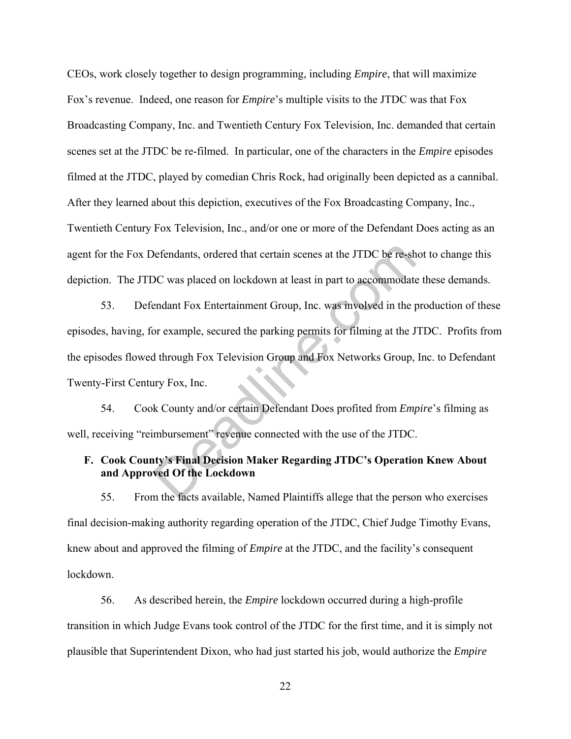CEOs, work closely together to design programming, including *Empire*, that will maximize Fox's revenue. Indeed, one reason for *Empire*'s multiple visits to the JTDC was that Fox Broadcasting Company, Inc. and Twentieth Century Fox Television, Inc. demanded that certain scenes set at the JTDC be re-filmed. In particular, one of the characters in the *Empire* episodes filmed at the JTDC, played by comedian Chris Rock, had originally been depicted as a cannibal. After they learned about this depiction, executives of the Fox Broadcasting Company, Inc., Twentieth Century Fox Television, Inc., and/or one or more of the Defendant Does acting as an agent for the Fox Defendants, ordered that certain scenes at the JTDC be re-shot to change this depiction. The JTDC was placed on lockdown at least in part to accommodate these demands.

53. Defendant Fox Entertainment Group, Inc. was involved in the production of these episodes, having, for example, secured the parking permits for filming at the JTDC. Profits from the episodes flowed through Fox Television Group and Fox Networks Group, Inc. to Defendant Twenty-First Century Fox, Inc. befendants, ordered that certain scenes at the JTDC be re-sh<br>DC was placed on lockdown at least in part to accommodate<br>endant Fox Entertainment Group, Inc. was involved in the p<br>or example, secured the parking permits for

54. Cook County and/or certain Defendant Does profited from *Empire*'s filming as well, receiving "reimbursement" revenue connected with the use of the JTDC.

# **F. Cook County's Final Decision Maker Regarding JTDC's Operation Knew About and Approved Of the Lockdown**

55. From the facts available, Named Plaintiffs allege that the person who exercises final decision-making authority regarding operation of the JTDC, Chief Judge Timothy Evans, knew about and approved the filming of *Empire* at the JTDC, and the facility's consequent lockdown.

56. As described herein, the *Empire* lockdown occurred during a high-profile transition in which Judge Evans took control of the JTDC for the first time, and it is simply not plausible that Superintendent Dixon, who had just started his job, would authorize the *Empire*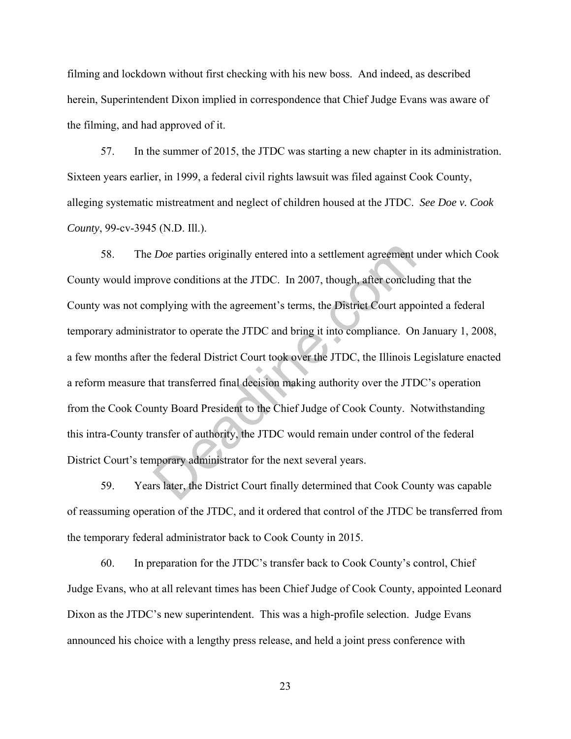filming and lockdown without first checking with his new boss. And indeed, as described herein, Superintendent Dixon implied in correspondence that Chief Judge Evans was aware of the filming, and had approved of it.

57. In the summer of 2015, the JTDC was starting a new chapter in its administration. Sixteen years earlier, in 1999, a federal civil rights lawsuit was filed against Cook County, alleging systematic mistreatment and neglect of children housed at the JTDC. *See Doe v. Cook County*, 99-cv-3945 (N.D. Ill.).

58. The *Doe* parties originally entered into a settlement agreement under which Cook County would improve conditions at the JTDC. In 2007, though, after concluding that the County was not complying with the agreement's terms, the District Court appointed a federal temporary administrator to operate the JTDC and bring it into compliance. On January 1, 2008, a few months after the federal District Court took over the JTDC, the Illinois Legislature enacted a reform measure that transferred final decision making authority over the JTDC's operation from the Cook County Board President to the Chief Judge of Cook County. Notwithstanding this intra-County transfer of authority, the JTDC would remain under control of the federal District Court's temporary administrator for the next several years. Doe parties originally entered into a settlement agreement<br>rove conditions at the JTDC. In 2007, though, after conclude<br>mplying with the agreement's terms, the District Court apportant<br>trator to operate the JTDC and bring

59. Years later, the District Court finally determined that Cook County was capable of reassuming operation of the JTDC, and it ordered that control of the JTDC be transferred from the temporary federal administrator back to Cook County in 2015.

60. In preparation for the JTDC's transfer back to Cook County's control, Chief Judge Evans, who at all relevant times has been Chief Judge of Cook County, appointed Leonard Dixon as the JTDC's new superintendent. This was a high-profile selection. Judge Evans announced his choice with a lengthy press release, and held a joint press conference with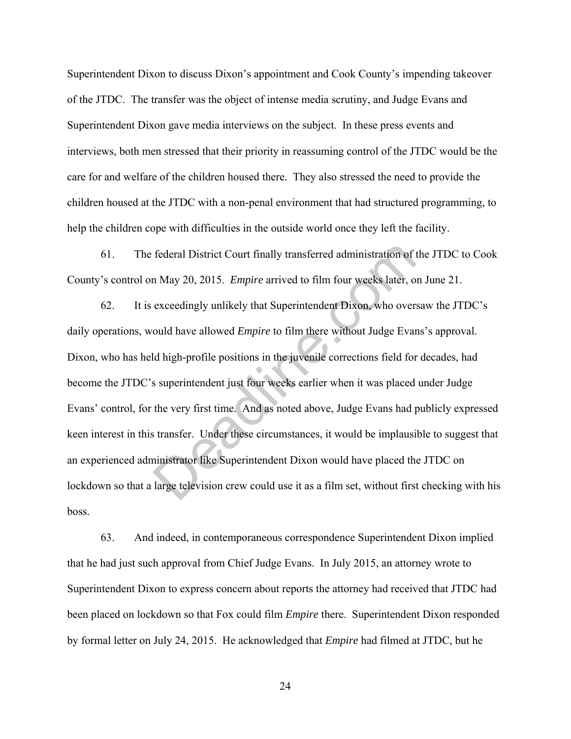Superintendent Dixon to discuss Dixon's appointment and Cook County's impending takeover of the JTDC. The transfer was the object of intense media scrutiny, and Judge Evans and Superintendent Dixon gave media interviews on the subject. In these press events and interviews, both men stressed that their priority in reassuming control of the JTDC would be the care for and welfare of the children housed there. They also stressed the need to provide the children housed at the JTDC with a non-penal environment that had structured programming, to help the children cope with difficulties in the outside world once they left the facility.

61. The federal District Court finally transferred administration of the JTDC to Cook County's control on May 20, 2015. *Empire* arrived to film four weeks later, on June 21.

62. It is exceedingly unlikely that Superintendent Dixon, who oversaw the JTDC's daily operations, would have allowed *Empire* to film there without Judge Evans's approval. Dixon, who has held high-profile positions in the juvenile corrections field for decades, had become the JTDC's superintendent just four weeks earlier when it was placed under Judge Evans' control, for the very first time. And as noted above, Judge Evans had publicly expressed keen interest in this transfer. Under these circumstances, it would be implausible to suggest that an experienced administrator like Superintendent Dixon would have placed the JTDC on lockdown so that a large television crew could use it as a film set, without first checking with his boss. federal District Court finally transferred administration of a May 20, 2015. *Empire* arrived to film four weeks later, o exceedingly unlikely that Superintendent Dixon, who over ould have allowed *Empire* to film there wi

63. And indeed, in contemporaneous correspondence Superintendent Dixon implied that he had just such approval from Chief Judge Evans. In July 2015, an attorney wrote to Superintendent Dixon to express concern about reports the attorney had received that JTDC had been placed on lockdown so that Fox could film *Empire* there. Superintendent Dixon responded by formal letter on July 24, 2015. He acknowledged that *Empire* had filmed at JTDC, but he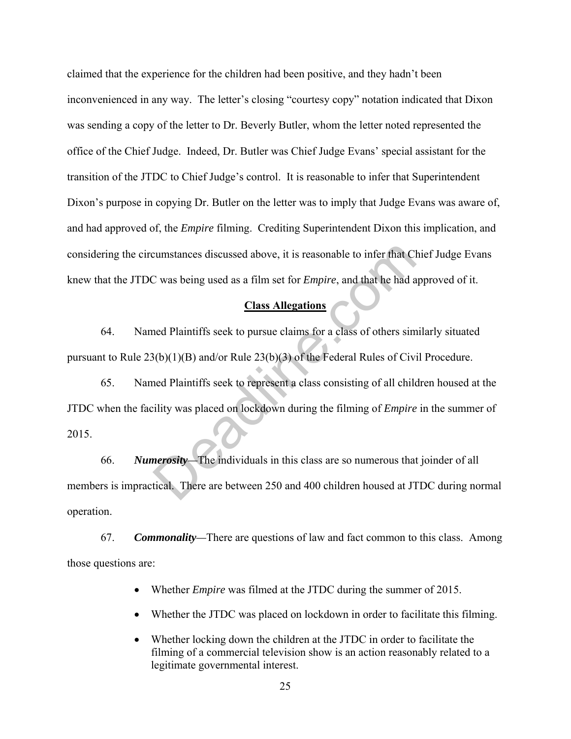claimed that the experience for the children had been positive, and they hadn't been inconvenienced in any way. The letter's closing "courtesy copy" notation indicated that Dixon was sending a copy of the letter to Dr. Beverly Butler, whom the letter noted represented the office of the Chief Judge. Indeed, Dr. Butler was Chief Judge Evans' special assistant for the transition of the JTDC to Chief Judge's control. It is reasonable to infer that Superintendent Dixon's purpose in copying Dr. Butler on the letter was to imply that Judge Evans was aware of, and had approved of, the *Empire* filming. Crediting Superintendent Dixon this implication, and considering the circumstances discussed above, it is reasonable to infer that Chief Judge Evans knew that the JTDC was being used as a film set for *Empire*, and that he had approved of it.

#### **Class Allegations**

64. Named Plaintiffs seek to pursue claims for a class of others similarly situated pursuant to Rule 23(b)(1)(B) and/or Rule 23(b)(3) of the Federal Rules of Civil Procedure.

65. Named Plaintiffs seek to represent a class consisting of all children housed at the JTDC when the facility was placed on lockdown during the filming of *Empire* in the summer of 2015. cumstances discussed above, it is reasonable to infer that Cl<br>
C was being used as a film set for *Empire*, and that he had a<br> **Class Allegations**<br>
and Plaintiffs seek to pursue claims for a class of others sim<br>  $B(b)(1)(B)$ 

66. *Numerosity—*The individuals in this class are so numerous that joinder of all members is impractical. There are between 250 and 400 children housed at JTDC during normal operation.

67. *Commonality—*There are questions of law and fact common to this class. Among those questions are:

- Whether *Empire* was filmed at the JTDC during the summer of 2015.
- Whether the JTDC was placed on lockdown in order to facilitate this filming.
- Whether locking down the children at the JTDC in order to facilitate the filming of a commercial television show is an action reasonably related to a legitimate governmental interest.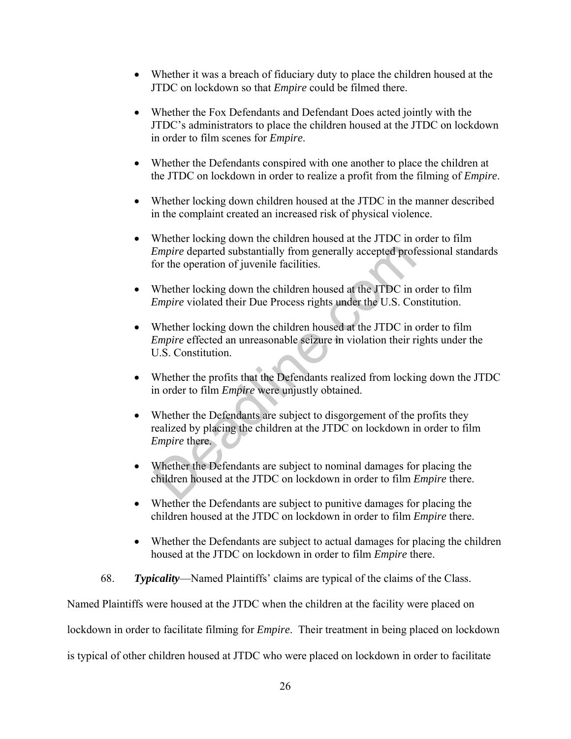- Whether it was a breach of fiduciary duty to place the children housed at the JTDC on lockdown so that *Empire* could be filmed there.
- Whether the Fox Defendants and Defendant Does acted jointly with the JTDC's administrators to place the children housed at the JTDC on lockdown in order to film scenes for *Empire*.
- Whether the Defendants conspired with one another to place the children at the JTDC on lockdown in order to realize a profit from the filming of *Empire*.
- Whether locking down children housed at the JTDC in the manner described in the complaint created an increased risk of physical violence.
- Whether locking down the children housed at the JTDC in order to film *Empire* departed substantially from generally accepted professional standards for the operation of juvenile facilities.
- Whether locking down the children housed at the JTDC in order to film *Empire* violated their Due Process rights under the U.S. Constitution.
- Whether locking down the children housed at the JTDC in order to film *Empire* effected an unreasonable seizure in violation their rights under the U.S. Constitution. Empire departed substantially from generally accepted prof<br>for the operation of juvenile facilities.<br>Whether locking down the children housed at the JTDC in empire violated their Due Process rights under the U.S. Com<br>Wheth
- Whether the profits that the Defendants realized from locking down the JTDC in order to film *Empire* were unjustly obtained.
- Whether the Defendants are subject to disgorgement of the profits they realized by placing the children at the JTDC on lockdown in order to film *Empire* there.
- Whether the Defendants are subject to nominal damages for placing the children housed at the JTDC on lockdown in order to film *Empire* there.
- Whether the Defendants are subject to punitive damages for placing the children housed at the JTDC on lockdown in order to film *Empire* there.
- Whether the Defendants are subject to actual damages for placing the children housed at the JTDC on lockdown in order to film *Empire* there.
- 68. *Typicality*—Named Plaintiffs' claims are typical of the claims of the Class.

Named Plaintiffs were housed at the JTDC when the children at the facility were placed on

lockdown in order to facilitate filming for *Empire*. Their treatment in being placed on lockdown

is typical of other children housed at JTDC who were placed on lockdown in order to facilitate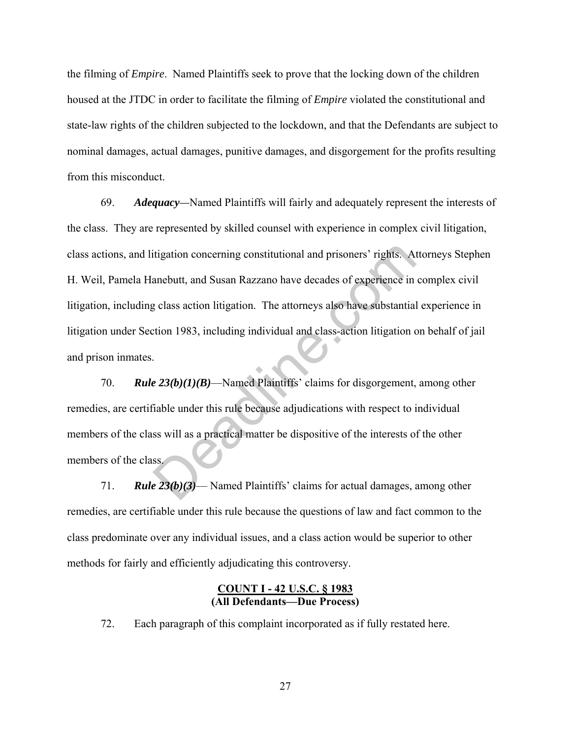the filming of *Empire*. Named Plaintiffs seek to prove that the locking down of the children housed at the JTDC in order to facilitate the filming of *Empire* violated the constitutional and state-law rights of the children subjected to the lockdown, and that the Defendants are subject to nominal damages, actual damages, punitive damages, and disgorgement for the profits resulting from this misconduct.

69. *Adequacy—*Named Plaintiffs will fairly and adequately represent the interests of the class. They are represented by skilled counsel with experience in complex civil litigation, class actions, and litigation concerning constitutional and prisoners' rights. Attorneys Stephen H. Weil, Pamela Hanebutt, and Susan Razzano have decades of experience in complex civil litigation, including class action litigation. The attorneys also have substantial experience in litigation under Section 1983, including individual and class-action litigation on behalf of jail and prison inmates. itigation concerning constitutional and prisoners' rights. A<br>anebutt, and Susan Razzano have decades of experience in<br>g class action litigation. The attorneys also have substantial<br>tion 1983, including individual and clas

70. *Rule 23(b)(1)(B)*—Named Plaintiffs' claims for disgorgement, among other remedies, are certifiable under this rule because adjudications with respect to individual members of the class will as a practical matter be dispositive of the interests of the other members of the class.

71. *Rule 23(b)(3)*— Named Plaintiffs' claims for actual damages, among other remedies, are certifiable under this rule because the questions of law and fact common to the class predominate over any individual issues, and a class action would be superior to other methods for fairly and efficiently adjudicating this controversy.

#### **COUNT I - 42 U.S.C. § 1983 (All Defendants—Due Process)**

72. Each paragraph of this complaint incorporated as if fully restated here.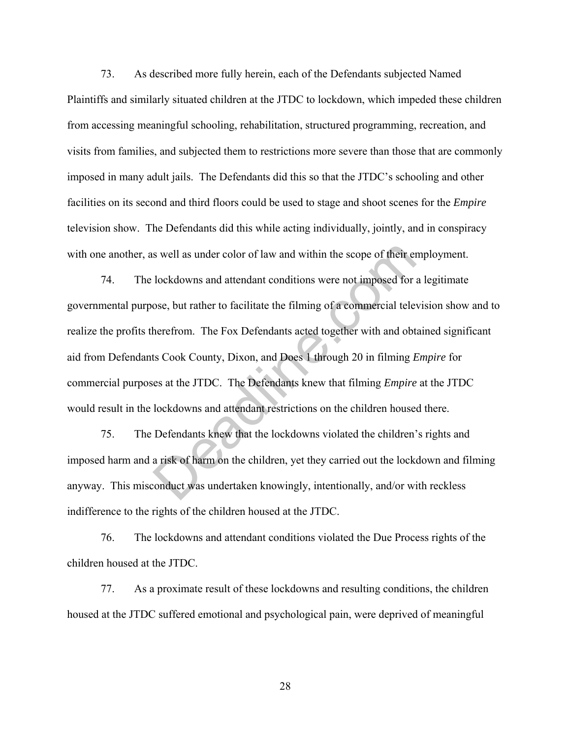73. As described more fully herein, each of the Defendants subjected Named Plaintiffs and similarly situated children at the JTDC to lockdown, which impeded these children from accessing meaningful schooling, rehabilitation, structured programming, recreation, and visits from families, and subjected them to restrictions more severe than those that are commonly imposed in many adult jails. The Defendants did this so that the JTDC's schooling and other facilities on its second and third floors could be used to stage and shoot scenes for the *Empire* television show. The Defendants did this while acting individually, jointly, and in conspiracy with one another, as well as under color of law and within the scope of their employment.

74. The lockdowns and attendant conditions were not imposed for a legitimate governmental purpose, but rather to facilitate the filming of a commercial television show and to realize the profits therefrom. The Fox Defendants acted together with and obtained significant aid from Defendants Cook County, Dixon, and Does 1 through 20 in filming *Empire* for commercial purposes at the JTDC. The Defendants knew that filming *Empire* at the JTDC would result in the lockdowns and attendant restrictions on the children housed there. s well as under color of law and within the scope of their encedenced to lockdowns and attendant conditions were not imposed for ose, but rather to facilitate the filming of a commercial tele herefrom. The Fox Defendants a

75. The Defendants knew that the lockdowns violated the children's rights and imposed harm and a risk of harm on the children, yet they carried out the lockdown and filming anyway. This misconduct was undertaken knowingly, intentionally, and/or with reckless indifference to the rights of the children housed at the JTDC.

76. The lockdowns and attendant conditions violated the Due Process rights of the children housed at the JTDC.

77. As a proximate result of these lockdowns and resulting conditions, the children housed at the JTDC suffered emotional and psychological pain, were deprived of meaningful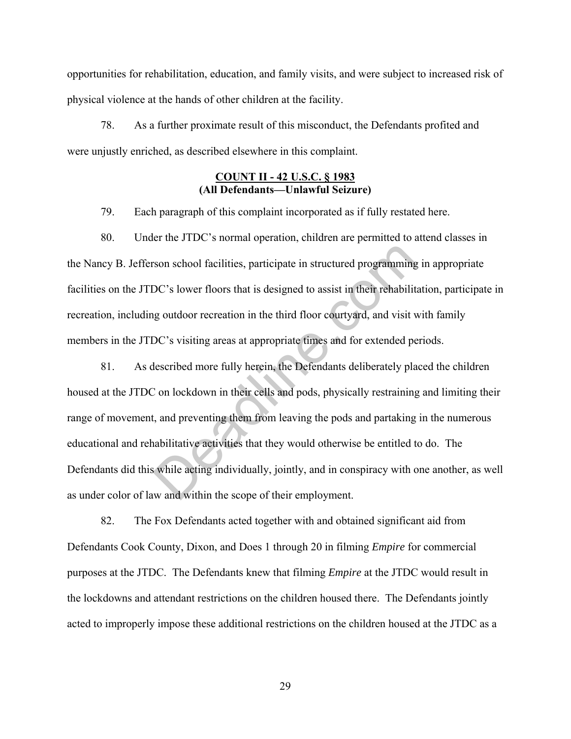opportunities for rehabilitation, education, and family visits, and were subject to increased risk of physical violence at the hands of other children at the facility.

78. As a further proximate result of this misconduct, the Defendants profited and were unjustly enriched, as described elsewhere in this complaint.

### **COUNT II - 42 U.S.C. § 1983 (All Defendants—Unlawful Seizure)**

79. Each paragraph of this complaint incorporated as if fully restated here.

80. Under the JTDC's normal operation, children are permitted to attend classes in the Nancy B. Jefferson school facilities, participate in structured programming in appropriate facilities on the JTDC's lower floors that is designed to assist in their rehabilitation, participate in recreation, including outdoor recreation in the third floor courtyard, and visit with family members in the JTDC's visiting areas at appropriate times and for extended periods.

81. As described more fully herein, the Defendants deliberately placed the children housed at the JTDC on lockdown in their cells and pods, physically restraining and limiting their range of movement, and preventing them from leaving the pods and partaking in the numerous educational and rehabilitative activities that they would otherwise be entitled to do. The Defendants did this while acting individually, jointly, and in conspiracy with one another, as well as under color of law and within the scope of their employment. son school facilities, participate in structured programming<br>DC's lower floors that is designed to assist in their rehabilit<br>ug outdoor recreation in the third floor courtyard, and visit v<br>DC's visiting areas at appropriat

82. The Fox Defendants acted together with and obtained significant aid from Defendants Cook County, Dixon, and Does 1 through 20 in filming *Empire* for commercial purposes at the JTDC. The Defendants knew that filming *Empire* at the JTDC would result in the lockdowns and attendant restrictions on the children housed there. The Defendants jointly acted to improperly impose these additional restrictions on the children housed at the JTDC as a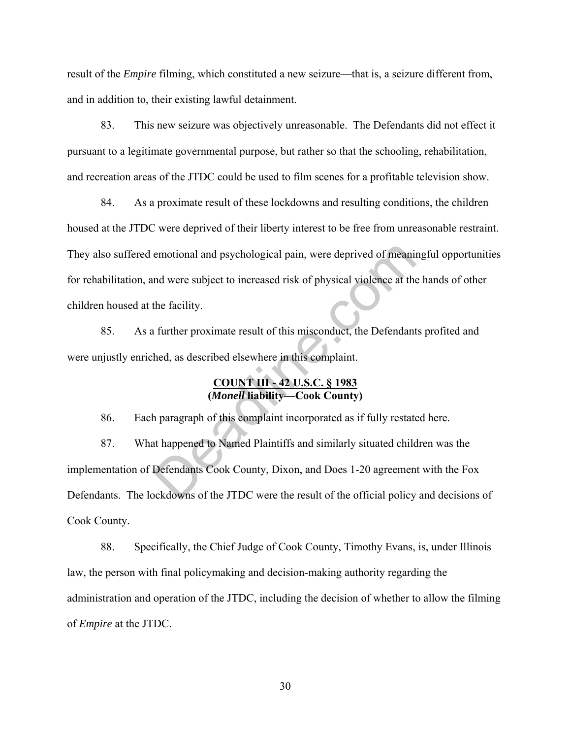result of the *Empire* filming, which constituted a new seizure—that is, a seizure different from, and in addition to, their existing lawful detainment.

83. This new seizure was objectively unreasonable. The Defendants did not effect it pursuant to a legitimate governmental purpose, but rather so that the schooling, rehabilitation, and recreation areas of the JTDC could be used to film scenes for a profitable television show.

84. As a proximate result of these lockdowns and resulting conditions, the children housed at the JTDC were deprived of their liberty interest to be free from unreasonable restraint. They also suffered emotional and psychological pain, were deprived of meaningful opportunities for rehabilitation, and were subject to increased risk of physical violence at the hands of other children housed at the facility. emotional and psychological pain, were deprived of meaninm<br>
and were subject to increased risk of physical violence at the<br>
the facility.<br>
1. further proximate result of this misconduct, the Defendant<br>
hed, as described el

85. As a further proximate result of this misconduct, the Defendants profited and were unjustly enriched, as described elsewhere in this complaint.

### **COUNT III - 42 U.S.C. § 1983 (***Monell* **liability—Cook County)**

86. Each paragraph of this complaint incorporated as if fully restated here.

87. What happened to Named Plaintiffs and similarly situated children was the implementation of Defendants Cook County, Dixon, and Does 1-20 agreement with the Fox Defendants. The lockdowns of the JTDC were the result of the official policy and decisions of Cook County.

88. Specifically, the Chief Judge of Cook County, Timothy Evans, is, under Illinois law, the person with final policymaking and decision-making authority regarding the administration and operation of the JTDC, including the decision of whether to allow the filming of *Empire* at the JTDC.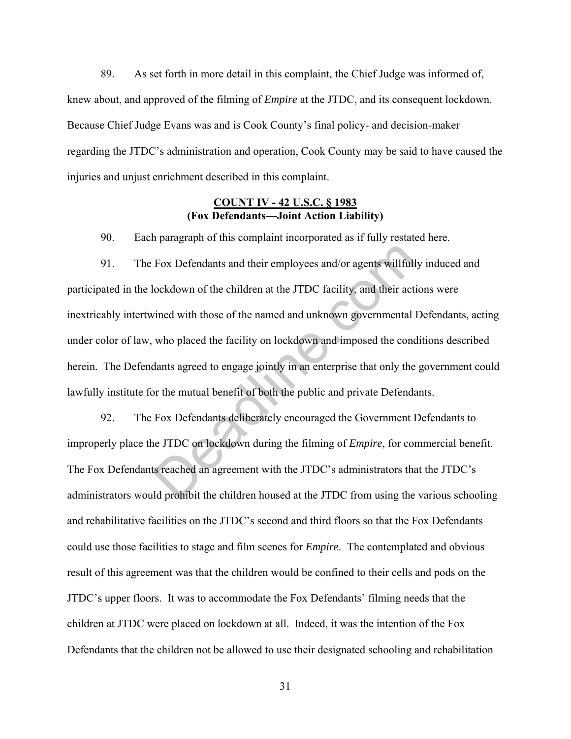89. As set forth in more detail in this complaint, the Chief Judge was informed of, knew about, and approved of the filming of *Empire* at the JTDC, and its consequent lockdown. Because Chief Judge Evans was and is Cook County's final policy- and decision-maker regarding the JTDC's administration and operation, Cook County may be said to have caused the injuries and unjust enrichment described in this complaint.

### **COUNT IV - 42 U.S.C. § 1983 (Fox Defendants—Joint Action Liability)**

90. Each paragraph of this complaint incorporated as if fully restated here.

91. The Fox Defendants and their employees and/or agents willfully induced and participated in the lockdown of the children at the JTDC facility, and their actions were inextricably intertwined with those of the named and unknown governmental Defendants, acting under color of law, who placed the facility on lockdown and imposed the conditions described herein. The Defendants agreed to engage jointly in an enterprise that only the government could lawfully institute for the mutual benefit of both the public and private Defendants. Fox Defendants and their employees and/or agents willfull<br>lockdown of the children at the JTDC facility, and their activined with those of the named and unknown governmental l<br>who placed the facility on lockdown and impose

92. The Fox Defendants deliberately encouraged the Government Defendants to improperly place the JTDC on lockdown during the filming of *Empire*, for commercial benefit. The Fox Defendants reached an agreement with the JTDC's administrators that the JTDC's administrators would prohibit the children housed at the JTDC from using the various schooling and rehabilitative facilities on the JTDC's second and third floors so that the Fox Defendants could use those facilities to stage and film scenes for *Empire*. The contemplated and obvious result of this agreement was that the children would be confined to their cells and pods on the JTDC's upper floors. It was to accommodate the Fox Defendants' filming needs that the children at JTDC were placed on lockdown at all. Indeed, it was the intention of the Fox Defendants that the children not be allowed to use their designated schooling and rehabilitation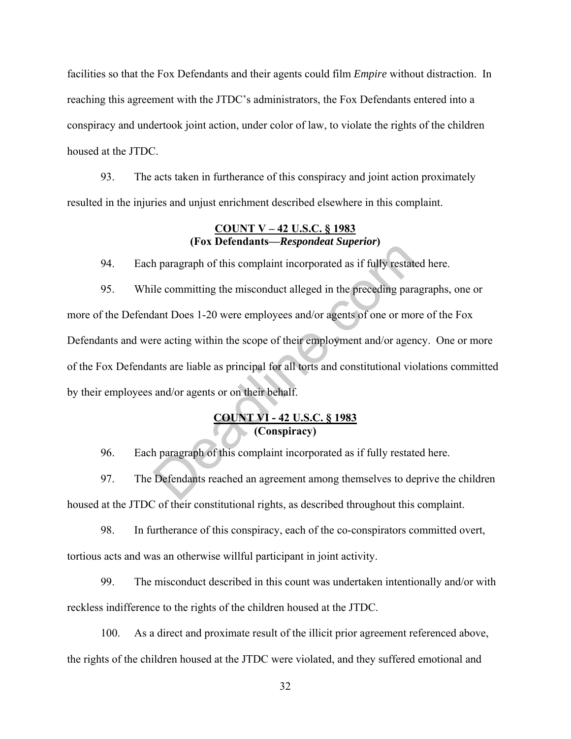facilities so that the Fox Defendants and their agents could film *Empire* without distraction. In reaching this agreement with the JTDC's administrators, the Fox Defendants entered into a conspiracy and undertook joint action, under color of law, to violate the rights of the children housed at the JTDC.

93. The acts taken in furtherance of this conspiracy and joint action proximately resulted in the injuries and unjust enrichment described elsewhere in this complaint.

### **COUNT V – 42 U.S.C. § 1983 (Fox Defendants—***Respondeat Superior***)**

94. Each paragraph of this complaint incorporated as if fully restated here.

95. While committing the misconduct alleged in the preceding paragraphs, one or more of the Defendant Does 1-20 were employees and/or agents of one or more of the Fox Defendants and were acting within the scope of their employment and/or agency. One or more of the Fox Defendants are liable as principal for all torts and constitutional violations committed by their employees and/or agents or on their behalf. The parameter of this complaint incorporated as if fully restate<br>le committing the misconduct alleged in the preceding para<br>lant Does 1-20 were employees and/or agents of one or more<br>reacting within the scope of their empl

### **COUNT VI - 42 U.S.C. § 1983 (Conspiracy)**

96. Each paragraph of this complaint incorporated as if fully restated here.

97. The Defendants reached an agreement among themselves to deprive the children housed at the JTDC of their constitutional rights, as described throughout this complaint.

98. In furtherance of this conspiracy, each of the co-conspirators committed overt, tortious acts and was an otherwise willful participant in joint activity.

99. The misconduct described in this count was undertaken intentionally and/or with reckless indifference to the rights of the children housed at the JTDC.

100. As a direct and proximate result of the illicit prior agreement referenced above, the rights of the children housed at the JTDC were violated, and they suffered emotional and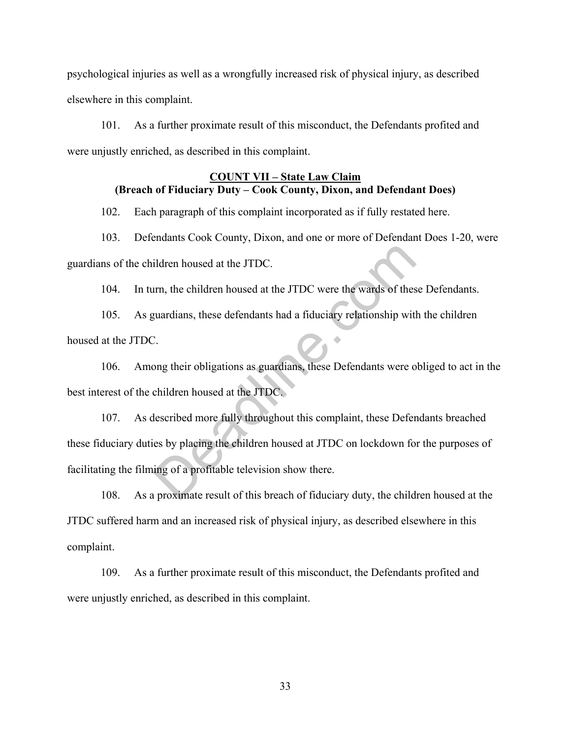psychological injuries as well as a wrongfully increased risk of physical injury, as described elsewhere in this complaint.

101. As a further proximate result of this misconduct, the Defendants profited and were unjustly enriched, as described in this complaint.

# **COUNT VII – State Law Claim (Breach of Fiduciary Duty – Cook County, Dixon, and Defendant Does)**

102. Each paragraph of this complaint incorporated as if fully restated here.

103. Defendants Cook County, Dixon, and one or more of Defendant Does 1-20, were guardians of the children housed at the JTDC.

104. In turn, the children housed at the JTDC were the wards of these Defendants.

105. As guardians, these defendants had a fiduciary relationship with the children housed at the JTDC.

106. Among their obligations as guardians, these Defendants were obliged to act in the best interest of the children housed at the JTDC.

107. As described more fully throughout this complaint, these Defendants breached these fiduciary duties by placing the children housed at JTDC on lockdown for the purposes of facilitating the filming of a profitable television show there. ildren housed at the JTDC.<br>
urn, the children housed at the JTDC were the wards of thes<br>
guardians, these defendants had a fiduciary relationship with<br>
Deadlers are computed in the STDC.<br>
Leadlers housed at the JTDC.<br>
Head

108. As a proximate result of this breach of fiduciary duty, the children housed at the JTDC suffered harm and an increased risk of physical injury, as described elsewhere in this complaint.

109. As a further proximate result of this misconduct, the Defendants profited and were unjustly enriched, as described in this complaint.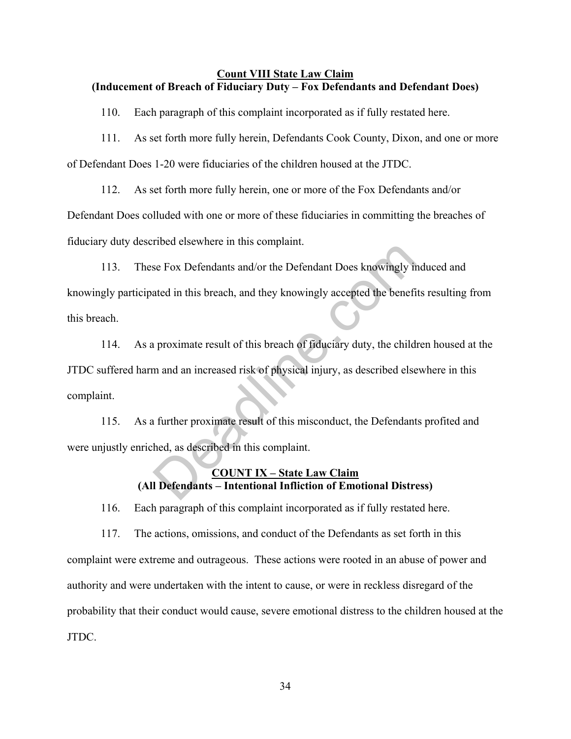#### **Count VIII State Law Claim (Inducement of Breach of Fiduciary Duty – Fox Defendants and Defendant Does)**

110. Each paragraph of this complaint incorporated as if fully restated here.

111. As set forth more fully herein, Defendants Cook County, Dixon, and one or more of Defendant Does 1-20 were fiduciaries of the children housed at the JTDC.

112. As set forth more fully herein, one or more of the Fox Defendants and/or Defendant Does colluded with one or more of these fiduciaries in committing the breaches of fiduciary duty described elsewhere in this complaint.

113. These Fox Defendants and/or the Defendant Does knowingly induced and knowingly participated in this breach, and they knowingly accepted the benefits resulting from this breach. See Fox Defendants and/or the Defendant Does knowingly in<br>tated in this breach, and they knowingly accepted the benefit<br>ated in this breach, and they knowingly accepted the benefit<br>proximate result of this breach of fiduci

114. As a proximate result of this breach of fiduciary duty, the children housed at the JTDC suffered harm and an increased risk of physical injury, as described elsewhere in this complaint.

115. As a further proximate result of this misconduct, the Defendants profited and were unjustly enriched, as described in this complaint.

### **COUNT IX – State Law Claim (All Defendants – Intentional Infliction of Emotional Distress)**

116. Each paragraph of this complaint incorporated as if fully restated here.

117. The actions, omissions, and conduct of the Defendants as set forth in this complaint were extreme and outrageous. These actions were rooted in an abuse of power and authority and were undertaken with the intent to cause, or were in reckless disregard of the probability that their conduct would cause, severe emotional distress to the children housed at the JTDC.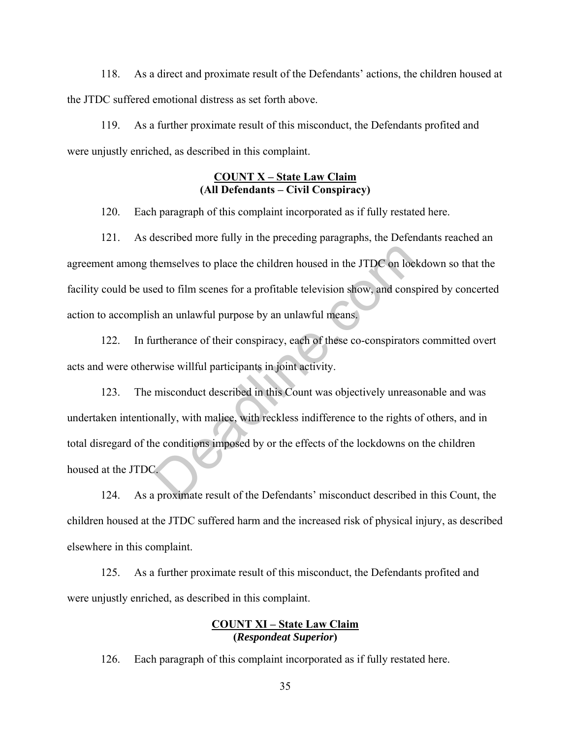118. As a direct and proximate result of the Defendants' actions, the children housed at the JTDC suffered emotional distress as set forth above.

119. As a further proximate result of this misconduct, the Defendants profited and were unjustly enriched, as described in this complaint.

# **COUNT X – State Law Claim (All Defendants – Civil Conspiracy)**

120. Each paragraph of this complaint incorporated as if fully restated here.

121. As described more fully in the preceding paragraphs, the Defendants reached an agreement among themselves to place the children housed in the JTDC on lockdown so that the facility could be used to film scenes for a profitable television show, and conspired by concerted action to accomplish an unlawful purpose by an unlawful means.

122. In furtherance of their conspiracy, each of these co-conspirators committed overt acts and were otherwise willful participants in joint activity.

123. The misconduct described in this Count was objectively unreasonable and was undertaken intentionally, with malice, with reckless indifference to the rights of others, and in total disregard of the conditions imposed by or the effects of the lockdowns on the children housed at the JTDC. hemselves to place the children housed in the JTDC on locktriand in the JTDC on locktod to film scenes for a profitable television show, and constant the annular purpose by an unlawful means.<br>
untherance of their conspirac

124. As a proximate result of the Defendants' misconduct described in this Count, the children housed at the JTDC suffered harm and the increased risk of physical injury, as described elsewhere in this complaint.

125. As a further proximate result of this misconduct, the Defendants profited and were unjustly enriched, as described in this complaint.

### **COUNT XI – State Law Claim (***Respondeat Superior***)**

126. Each paragraph of this complaint incorporated as if fully restated here.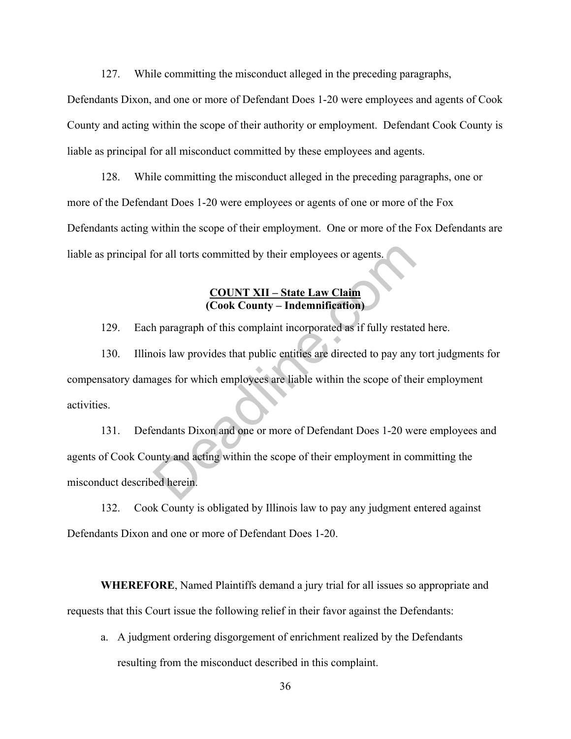127. While committing the misconduct alleged in the preceding paragraphs,

Defendants Dixon, and one or more of Defendant Does 1-20 were employees and agents of Cook County and acting within the scope of their authority or employment. Defendant Cook County is liable as principal for all misconduct committed by these employees and agents.

128. While committing the misconduct alleged in the preceding paragraphs, one or more of the Defendant Does 1-20 were employees or agents of one or more of the Fox Defendants acting within the scope of their employment. One or more of the Fox Defendants are liable as principal for all torts committed by their employees or agents.

### **COUNT XII – State Law Claim (Cook County – Indemnification)**

129. Each paragraph of this complaint incorporated as if fully restated here.

130. Illinois law provides that public entities are directed to pay any tort judgments for compensatory damages for which employees are liable within the scope of their employment activities. For all torts committed by their employees or agents.<br>
COUNT XII – State Law Claim<br>
(Cook County – Indemnification)<br>
h paragraph of this complaint incorporated as if fully restate<br>
ois law provides that public entities are

131. Defendants Dixon and one or more of Defendant Does 1-20 were employees and agents of Cook County and acting within the scope of their employment in committing the misconduct described herein.

132. Cook County is obligated by Illinois law to pay any judgment entered against Defendants Dixon and one or more of Defendant Does 1-20.

**WHEREFORE**, Named Plaintiffs demand a jury trial for all issues so appropriate and requests that this Court issue the following relief in their favor against the Defendants:

a. A judgment ordering disgorgement of enrichment realized by the Defendants resulting from the misconduct described in this complaint.